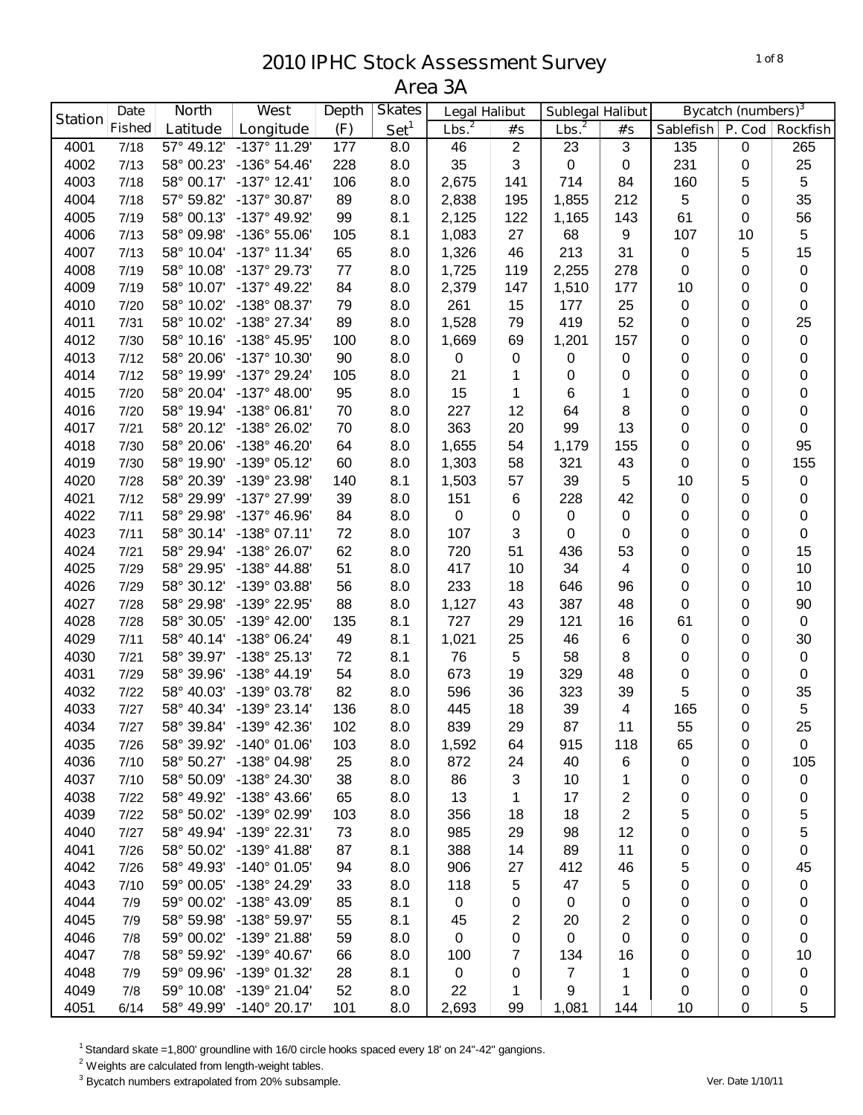| <b>Bycatch (numbers)</b> <sup>3</sup><br><b>Depth</b><br><b>Sublegal Halibut</b><br><b>Station</b><br>Lbs. <sup>2</sup><br>Set <sup>1</sup><br>Lbs. <sup>2</sup><br><b>Fished</b><br>(F)<br>Latitude<br>Longitude<br>Sablefish   P. Cod<br>#'s<br>#'s<br><b>Rockfish</b><br>$-137^\circ$ 11.29<br>4001<br>57° 49.12'<br>8.0<br>46<br>$\overline{2}$<br>3<br>135<br>265<br>7/18<br>177<br>23<br>0<br>35<br>3<br>$\pmb{0}$<br>231<br>25<br>4002<br>58° 00.23'<br>$-136°54.46'$<br>228<br>8.0<br>$\pmb{0}$<br>7/13<br>0<br>5<br>2,675<br>4003<br>58° 00.17'<br>$-137^{\circ}$ 12.41'<br>106<br>8.0<br>141<br>714<br>160<br>5<br>7/18<br>84<br>5<br>35<br>4004<br>57° 59.82'<br>-137° 30.87'<br>89<br>8.0<br>2,838<br>195<br>1,855<br>212<br>0<br>7/18<br>8.1<br>61<br>56<br>4005<br>58° 00.13'<br>-137° 49.92'<br>99<br>2,125<br>122<br>1,165<br>143<br>7/19<br>0<br>27<br>107<br>5<br>4006<br>-136° 55.06'<br>105<br>8.1<br>68<br>7/13<br>58° 09.98'<br>1,083<br>9<br>10<br>213<br>15<br>4007<br>58° 10.04'<br>-137° 11.34'<br>65<br>8.0<br>1,326<br>46<br>31<br>0<br>5<br>7/13<br>4008<br>58° 10.08'<br>-137° 29.73'<br>77<br>8.0<br>1,725<br>119<br>2,255<br>278<br>0<br>$\pmb{0}$<br>7/19<br>0<br>-137° 49.22'<br>4009<br>58° 10.07'<br>84<br>8.0<br>2,379<br>177<br>10<br>7/19<br>147<br>1,510<br>0<br>$\pmb{0}$<br>4010<br>58° 10.02'<br>-138° 08.37'<br>79<br>8.0<br>261<br>15<br>177<br>25<br>0<br>0<br>7/20<br>0<br>58° 10.02'<br>-138° 27.34'<br>89<br>52<br>25<br>4011<br>8.0<br>1,528<br>79<br>419<br>7/31<br>0<br>0<br>-138° 45.95'<br>4012<br>58° 10.16'<br>100<br>1,669<br>1,201<br>157<br>0<br>0<br>$\pmb{0}$<br>7/30<br>8.0<br>69<br>-137° 10.30'<br>4013<br>58° 20.06'<br>90<br>0<br>$\pmb{0}$<br>0<br>0<br>0<br>7/12<br>8.0<br>0<br>0<br>21<br>4014<br>58° 19.99'<br>-137° 29.24'<br>105<br>8.0<br>$\pmb{0}$<br>$\pmb{0}$<br>0<br>0<br>7/12<br>1<br>0<br>$-137^{\circ}$ 48.00'<br>95<br>0<br>4015<br>58° 20.04'<br>8.0<br>15<br>1<br>6<br>1<br>0<br>0<br>7/20<br>12<br>4016<br>58° 19.94'<br>-138° 06.81'<br>70<br>8.0<br>227<br>8<br>0<br>$\pmb{0}$<br>7/20<br>64<br>0<br>363<br>99<br>4017<br>58° 20.12'<br>-138° 26.02'<br>70<br>8.0<br>20<br>13<br>0<br>0<br>7/21<br>0<br>-138° 46.20'<br>1,655<br>95<br>4018<br>58° 20.06'<br>64<br>8.0<br>54<br>1,179<br>155<br>0<br>7/30<br>0<br>155<br>4019<br>-139° 05.12'<br>60<br>8.0<br>58<br>43<br>0<br>7/30<br>58° 19.90'<br>1,303<br>321<br>0<br>4020<br>-139° 23.98'<br>140<br>8.1<br>39<br>10<br>5<br>7/28<br>58° 20.39'<br>1,503<br>57<br>5<br>$\pmb{0}$<br>42<br>4021<br>-137° 27.99'<br>39<br>8.0<br>151<br>228<br>0<br>7/12<br>58° 29.99'<br>6<br>0<br>0<br>4022<br>-137° 46.96'<br>84<br>8.0<br>$\pmb{0}$<br>$\pmb{0}$<br>0<br>7/11<br>58° 29.98'<br>0<br>$\mathbf 0$<br>0<br>0<br>4023<br>58° 30.14'<br>$-138°07.11'$<br>72<br>8.0<br>107<br>3<br>0<br>0<br>7/11<br>0<br>0<br>0<br>62<br>15<br>4024<br>58° 29.94'<br>-138° 26.07'<br>8.0<br>720<br>51<br>436<br>53<br>7/21<br>0<br>0<br>51<br>34<br>10<br>4025<br>58° 29.95'<br>-138° 44.88'<br>8.0<br>417<br>10<br>$\overline{\mathbf{4}}$<br>0<br>0<br>7/29<br>4026<br>58° 30.12'<br>-139° 03.88'<br>56<br>8.0<br>233<br>18<br>646<br>96<br>0<br>10<br>7/29<br>0<br>0<br>90<br>4027<br>58° 29.98'<br>-139° 22.95'<br>88<br>8.0<br>1,127<br>43<br>387<br>48<br>0<br>7/28<br>727<br>4028<br>58° 30.05'<br>-139° 42.00'<br>135<br>8.1<br>29<br>121<br>16<br>61<br>$\pmb{0}$<br>7/28<br>0<br>$\,6$<br>30<br>4029<br>-138° 06.24'<br>49<br>8.1<br>1,021<br>25<br>46<br>0<br>7/11<br>58° 40.14'<br>0<br>8.1<br>4030<br>-138° 25.13'<br>72<br>76<br>5<br>58<br>8<br>$\pmb{0}$<br>7/21<br>58° 39.97'<br>0<br>0<br>54<br>4031<br>$-138° 44.19'$<br>8.0<br>673<br>19<br>329<br>48<br>0<br>0<br>$\pmb{0}$<br>7/29<br>58° 39.96'<br>5<br>35<br>4032<br>-139° 03.78'<br>82<br>8.0<br>596<br>36<br>323<br>39<br>7/22<br>58° 40.03'<br>0<br>-139° 23.14'<br>39<br>165<br>$\sqrt{5}$<br>4033<br>7/27<br>58° 40.34'<br>136<br>8.0<br>445<br>18<br>4<br>0<br>25<br>839<br>29<br>87<br>11<br>55<br>4034<br>58° 39.84' -139° 42.36'<br>102<br>8.0<br>7/27<br>0<br>4035<br>58° 39.92'<br>$-140^{\circ}$ 01.06'<br>103<br>8.0<br>1,592<br>64<br>915<br>118<br>65<br>0<br>7/26<br>0<br>4036<br>58° 50.27' -138° 04.98'<br>105<br>25<br>8.0<br>872<br>24<br>40<br>6<br>0<br>7/10<br>0 |
|----------------------------------------------------------------------------------------------------------------------------------------------------------------------------------------------------------------------------------------------------------------------------------------------------------------------------------------------------------------------------------------------------------------------------------------------------------------------------------------------------------------------------------------------------------------------------------------------------------------------------------------------------------------------------------------------------------------------------------------------------------------------------------------------------------------------------------------------------------------------------------------------------------------------------------------------------------------------------------------------------------------------------------------------------------------------------------------------------------------------------------------------------------------------------------------------------------------------------------------------------------------------------------------------------------------------------------------------------------------------------------------------------------------------------------------------------------------------------------------------------------------------------------------------------------------------------------------------------------------------------------------------------------------------------------------------------------------------------------------------------------------------------------------------------------------------------------------------------------------------------------------------------------------------------------------------------------------------------------------------------------------------------------------------------------------------------------------------------------------------------------------------------------------------------------------------------------------------------------------------------------------------------------------------------------------------------------------------------------------------------------------------------------------------------------------------------------------------------------------------------------------------------------------------------------------------------------------------------------------------------------------------------------------------------------------------------------------------------------------------------------------------------------------------------------------------------------------------------------------------------------------------------------------------------------------------------------------------------------------------------------------------------------------------------------------------------------------------------------------------------------------------------------------------------------------------------------------------------------------------------------------------------------------------------------------------------------------------------------------------------------------------------------------------------------------------------------------------------------------------------------------------------------------------------------------------------------------------------------------------------------------------------------------------------------------------------------------------------------------------------------------------------------------------------------------------------------------------------------------------------------------------------------------------------------------------------------------------------------------------------------------------------------------------------------------------------------------------------------------------------------------------------------------------------------------------------------------------------------------------------------------------------------------|
|                                                                                                                                                                                                                                                                                                                                                                                                                                                                                                                                                                                                                                                                                                                                                                                                                                                                                                                                                                                                                                                                                                                                                                                                                                                                                                                                                                                                                                                                                                                                                                                                                                                                                                                                                                                                                                                                                                                                                                                                                                                                                                                                                                                                                                                                                                                                                                                                                                                                                                                                                                                                                                                                                                                                                                                                                                                                                                                                                                                                                                                                                                                                                                                                                                                                                                                                                                                                                                                                                                                                                                                                                                                                                                                                                                                                                                                                                                                                                                                                                                                                                                                                                                                                                                                                                        |
|                                                                                                                                                                                                                                                                                                                                                                                                                                                                                                                                                                                                                                                                                                                                                                                                                                                                                                                                                                                                                                                                                                                                                                                                                                                                                                                                                                                                                                                                                                                                                                                                                                                                                                                                                                                                                                                                                                                                                                                                                                                                                                                                                                                                                                                                                                                                                                                                                                                                                                                                                                                                                                                                                                                                                                                                                                                                                                                                                                                                                                                                                                                                                                                                                                                                                                                                                                                                                                                                                                                                                                                                                                                                                                                                                                                                                                                                                                                                                                                                                                                                                                                                                                                                                                                                                        |
|                                                                                                                                                                                                                                                                                                                                                                                                                                                                                                                                                                                                                                                                                                                                                                                                                                                                                                                                                                                                                                                                                                                                                                                                                                                                                                                                                                                                                                                                                                                                                                                                                                                                                                                                                                                                                                                                                                                                                                                                                                                                                                                                                                                                                                                                                                                                                                                                                                                                                                                                                                                                                                                                                                                                                                                                                                                                                                                                                                                                                                                                                                                                                                                                                                                                                                                                                                                                                                                                                                                                                                                                                                                                                                                                                                                                                                                                                                                                                                                                                                                                                                                                                                                                                                                                                        |
|                                                                                                                                                                                                                                                                                                                                                                                                                                                                                                                                                                                                                                                                                                                                                                                                                                                                                                                                                                                                                                                                                                                                                                                                                                                                                                                                                                                                                                                                                                                                                                                                                                                                                                                                                                                                                                                                                                                                                                                                                                                                                                                                                                                                                                                                                                                                                                                                                                                                                                                                                                                                                                                                                                                                                                                                                                                                                                                                                                                                                                                                                                                                                                                                                                                                                                                                                                                                                                                                                                                                                                                                                                                                                                                                                                                                                                                                                                                                                                                                                                                                                                                                                                                                                                                                                        |
|                                                                                                                                                                                                                                                                                                                                                                                                                                                                                                                                                                                                                                                                                                                                                                                                                                                                                                                                                                                                                                                                                                                                                                                                                                                                                                                                                                                                                                                                                                                                                                                                                                                                                                                                                                                                                                                                                                                                                                                                                                                                                                                                                                                                                                                                                                                                                                                                                                                                                                                                                                                                                                                                                                                                                                                                                                                                                                                                                                                                                                                                                                                                                                                                                                                                                                                                                                                                                                                                                                                                                                                                                                                                                                                                                                                                                                                                                                                                                                                                                                                                                                                                                                                                                                                                                        |
|                                                                                                                                                                                                                                                                                                                                                                                                                                                                                                                                                                                                                                                                                                                                                                                                                                                                                                                                                                                                                                                                                                                                                                                                                                                                                                                                                                                                                                                                                                                                                                                                                                                                                                                                                                                                                                                                                                                                                                                                                                                                                                                                                                                                                                                                                                                                                                                                                                                                                                                                                                                                                                                                                                                                                                                                                                                                                                                                                                                                                                                                                                                                                                                                                                                                                                                                                                                                                                                                                                                                                                                                                                                                                                                                                                                                                                                                                                                                                                                                                                                                                                                                                                                                                                                                                        |
|                                                                                                                                                                                                                                                                                                                                                                                                                                                                                                                                                                                                                                                                                                                                                                                                                                                                                                                                                                                                                                                                                                                                                                                                                                                                                                                                                                                                                                                                                                                                                                                                                                                                                                                                                                                                                                                                                                                                                                                                                                                                                                                                                                                                                                                                                                                                                                                                                                                                                                                                                                                                                                                                                                                                                                                                                                                                                                                                                                                                                                                                                                                                                                                                                                                                                                                                                                                                                                                                                                                                                                                                                                                                                                                                                                                                                                                                                                                                                                                                                                                                                                                                                                                                                                                                                        |
|                                                                                                                                                                                                                                                                                                                                                                                                                                                                                                                                                                                                                                                                                                                                                                                                                                                                                                                                                                                                                                                                                                                                                                                                                                                                                                                                                                                                                                                                                                                                                                                                                                                                                                                                                                                                                                                                                                                                                                                                                                                                                                                                                                                                                                                                                                                                                                                                                                                                                                                                                                                                                                                                                                                                                                                                                                                                                                                                                                                                                                                                                                                                                                                                                                                                                                                                                                                                                                                                                                                                                                                                                                                                                                                                                                                                                                                                                                                                                                                                                                                                                                                                                                                                                                                                                        |
|                                                                                                                                                                                                                                                                                                                                                                                                                                                                                                                                                                                                                                                                                                                                                                                                                                                                                                                                                                                                                                                                                                                                                                                                                                                                                                                                                                                                                                                                                                                                                                                                                                                                                                                                                                                                                                                                                                                                                                                                                                                                                                                                                                                                                                                                                                                                                                                                                                                                                                                                                                                                                                                                                                                                                                                                                                                                                                                                                                                                                                                                                                                                                                                                                                                                                                                                                                                                                                                                                                                                                                                                                                                                                                                                                                                                                                                                                                                                                                                                                                                                                                                                                                                                                                                                                        |
|                                                                                                                                                                                                                                                                                                                                                                                                                                                                                                                                                                                                                                                                                                                                                                                                                                                                                                                                                                                                                                                                                                                                                                                                                                                                                                                                                                                                                                                                                                                                                                                                                                                                                                                                                                                                                                                                                                                                                                                                                                                                                                                                                                                                                                                                                                                                                                                                                                                                                                                                                                                                                                                                                                                                                                                                                                                                                                                                                                                                                                                                                                                                                                                                                                                                                                                                                                                                                                                                                                                                                                                                                                                                                                                                                                                                                                                                                                                                                                                                                                                                                                                                                                                                                                                                                        |
|                                                                                                                                                                                                                                                                                                                                                                                                                                                                                                                                                                                                                                                                                                                                                                                                                                                                                                                                                                                                                                                                                                                                                                                                                                                                                                                                                                                                                                                                                                                                                                                                                                                                                                                                                                                                                                                                                                                                                                                                                                                                                                                                                                                                                                                                                                                                                                                                                                                                                                                                                                                                                                                                                                                                                                                                                                                                                                                                                                                                                                                                                                                                                                                                                                                                                                                                                                                                                                                                                                                                                                                                                                                                                                                                                                                                                                                                                                                                                                                                                                                                                                                                                                                                                                                                                        |
|                                                                                                                                                                                                                                                                                                                                                                                                                                                                                                                                                                                                                                                                                                                                                                                                                                                                                                                                                                                                                                                                                                                                                                                                                                                                                                                                                                                                                                                                                                                                                                                                                                                                                                                                                                                                                                                                                                                                                                                                                                                                                                                                                                                                                                                                                                                                                                                                                                                                                                                                                                                                                                                                                                                                                                                                                                                                                                                                                                                                                                                                                                                                                                                                                                                                                                                                                                                                                                                                                                                                                                                                                                                                                                                                                                                                                                                                                                                                                                                                                                                                                                                                                                                                                                                                                        |
|                                                                                                                                                                                                                                                                                                                                                                                                                                                                                                                                                                                                                                                                                                                                                                                                                                                                                                                                                                                                                                                                                                                                                                                                                                                                                                                                                                                                                                                                                                                                                                                                                                                                                                                                                                                                                                                                                                                                                                                                                                                                                                                                                                                                                                                                                                                                                                                                                                                                                                                                                                                                                                                                                                                                                                                                                                                                                                                                                                                                                                                                                                                                                                                                                                                                                                                                                                                                                                                                                                                                                                                                                                                                                                                                                                                                                                                                                                                                                                                                                                                                                                                                                                                                                                                                                        |
|                                                                                                                                                                                                                                                                                                                                                                                                                                                                                                                                                                                                                                                                                                                                                                                                                                                                                                                                                                                                                                                                                                                                                                                                                                                                                                                                                                                                                                                                                                                                                                                                                                                                                                                                                                                                                                                                                                                                                                                                                                                                                                                                                                                                                                                                                                                                                                                                                                                                                                                                                                                                                                                                                                                                                                                                                                                                                                                                                                                                                                                                                                                                                                                                                                                                                                                                                                                                                                                                                                                                                                                                                                                                                                                                                                                                                                                                                                                                                                                                                                                                                                                                                                                                                                                                                        |
|                                                                                                                                                                                                                                                                                                                                                                                                                                                                                                                                                                                                                                                                                                                                                                                                                                                                                                                                                                                                                                                                                                                                                                                                                                                                                                                                                                                                                                                                                                                                                                                                                                                                                                                                                                                                                                                                                                                                                                                                                                                                                                                                                                                                                                                                                                                                                                                                                                                                                                                                                                                                                                                                                                                                                                                                                                                                                                                                                                                                                                                                                                                                                                                                                                                                                                                                                                                                                                                                                                                                                                                                                                                                                                                                                                                                                                                                                                                                                                                                                                                                                                                                                                                                                                                                                        |
|                                                                                                                                                                                                                                                                                                                                                                                                                                                                                                                                                                                                                                                                                                                                                                                                                                                                                                                                                                                                                                                                                                                                                                                                                                                                                                                                                                                                                                                                                                                                                                                                                                                                                                                                                                                                                                                                                                                                                                                                                                                                                                                                                                                                                                                                                                                                                                                                                                                                                                                                                                                                                                                                                                                                                                                                                                                                                                                                                                                                                                                                                                                                                                                                                                                                                                                                                                                                                                                                                                                                                                                                                                                                                                                                                                                                                                                                                                                                                                                                                                                                                                                                                                                                                                                                                        |
|                                                                                                                                                                                                                                                                                                                                                                                                                                                                                                                                                                                                                                                                                                                                                                                                                                                                                                                                                                                                                                                                                                                                                                                                                                                                                                                                                                                                                                                                                                                                                                                                                                                                                                                                                                                                                                                                                                                                                                                                                                                                                                                                                                                                                                                                                                                                                                                                                                                                                                                                                                                                                                                                                                                                                                                                                                                                                                                                                                                                                                                                                                                                                                                                                                                                                                                                                                                                                                                                                                                                                                                                                                                                                                                                                                                                                                                                                                                                                                                                                                                                                                                                                                                                                                                                                        |
|                                                                                                                                                                                                                                                                                                                                                                                                                                                                                                                                                                                                                                                                                                                                                                                                                                                                                                                                                                                                                                                                                                                                                                                                                                                                                                                                                                                                                                                                                                                                                                                                                                                                                                                                                                                                                                                                                                                                                                                                                                                                                                                                                                                                                                                                                                                                                                                                                                                                                                                                                                                                                                                                                                                                                                                                                                                                                                                                                                                                                                                                                                                                                                                                                                                                                                                                                                                                                                                                                                                                                                                                                                                                                                                                                                                                                                                                                                                                                                                                                                                                                                                                                                                                                                                                                        |
|                                                                                                                                                                                                                                                                                                                                                                                                                                                                                                                                                                                                                                                                                                                                                                                                                                                                                                                                                                                                                                                                                                                                                                                                                                                                                                                                                                                                                                                                                                                                                                                                                                                                                                                                                                                                                                                                                                                                                                                                                                                                                                                                                                                                                                                                                                                                                                                                                                                                                                                                                                                                                                                                                                                                                                                                                                                                                                                                                                                                                                                                                                                                                                                                                                                                                                                                                                                                                                                                                                                                                                                                                                                                                                                                                                                                                                                                                                                                                                                                                                                                                                                                                                                                                                                                                        |
|                                                                                                                                                                                                                                                                                                                                                                                                                                                                                                                                                                                                                                                                                                                                                                                                                                                                                                                                                                                                                                                                                                                                                                                                                                                                                                                                                                                                                                                                                                                                                                                                                                                                                                                                                                                                                                                                                                                                                                                                                                                                                                                                                                                                                                                                                                                                                                                                                                                                                                                                                                                                                                                                                                                                                                                                                                                                                                                                                                                                                                                                                                                                                                                                                                                                                                                                                                                                                                                                                                                                                                                                                                                                                                                                                                                                                                                                                                                                                                                                                                                                                                                                                                                                                                                                                        |
|                                                                                                                                                                                                                                                                                                                                                                                                                                                                                                                                                                                                                                                                                                                                                                                                                                                                                                                                                                                                                                                                                                                                                                                                                                                                                                                                                                                                                                                                                                                                                                                                                                                                                                                                                                                                                                                                                                                                                                                                                                                                                                                                                                                                                                                                                                                                                                                                                                                                                                                                                                                                                                                                                                                                                                                                                                                                                                                                                                                                                                                                                                                                                                                                                                                                                                                                                                                                                                                                                                                                                                                                                                                                                                                                                                                                                                                                                                                                                                                                                                                                                                                                                                                                                                                                                        |
|                                                                                                                                                                                                                                                                                                                                                                                                                                                                                                                                                                                                                                                                                                                                                                                                                                                                                                                                                                                                                                                                                                                                                                                                                                                                                                                                                                                                                                                                                                                                                                                                                                                                                                                                                                                                                                                                                                                                                                                                                                                                                                                                                                                                                                                                                                                                                                                                                                                                                                                                                                                                                                                                                                                                                                                                                                                                                                                                                                                                                                                                                                                                                                                                                                                                                                                                                                                                                                                                                                                                                                                                                                                                                                                                                                                                                                                                                                                                                                                                                                                                                                                                                                                                                                                                                        |
|                                                                                                                                                                                                                                                                                                                                                                                                                                                                                                                                                                                                                                                                                                                                                                                                                                                                                                                                                                                                                                                                                                                                                                                                                                                                                                                                                                                                                                                                                                                                                                                                                                                                                                                                                                                                                                                                                                                                                                                                                                                                                                                                                                                                                                                                                                                                                                                                                                                                                                                                                                                                                                                                                                                                                                                                                                                                                                                                                                                                                                                                                                                                                                                                                                                                                                                                                                                                                                                                                                                                                                                                                                                                                                                                                                                                                                                                                                                                                                                                                                                                                                                                                                                                                                                                                        |
|                                                                                                                                                                                                                                                                                                                                                                                                                                                                                                                                                                                                                                                                                                                                                                                                                                                                                                                                                                                                                                                                                                                                                                                                                                                                                                                                                                                                                                                                                                                                                                                                                                                                                                                                                                                                                                                                                                                                                                                                                                                                                                                                                                                                                                                                                                                                                                                                                                                                                                                                                                                                                                                                                                                                                                                                                                                                                                                                                                                                                                                                                                                                                                                                                                                                                                                                                                                                                                                                                                                                                                                                                                                                                                                                                                                                                                                                                                                                                                                                                                                                                                                                                                                                                                                                                        |
|                                                                                                                                                                                                                                                                                                                                                                                                                                                                                                                                                                                                                                                                                                                                                                                                                                                                                                                                                                                                                                                                                                                                                                                                                                                                                                                                                                                                                                                                                                                                                                                                                                                                                                                                                                                                                                                                                                                                                                                                                                                                                                                                                                                                                                                                                                                                                                                                                                                                                                                                                                                                                                                                                                                                                                                                                                                                                                                                                                                                                                                                                                                                                                                                                                                                                                                                                                                                                                                                                                                                                                                                                                                                                                                                                                                                                                                                                                                                                                                                                                                                                                                                                                                                                                                                                        |
|                                                                                                                                                                                                                                                                                                                                                                                                                                                                                                                                                                                                                                                                                                                                                                                                                                                                                                                                                                                                                                                                                                                                                                                                                                                                                                                                                                                                                                                                                                                                                                                                                                                                                                                                                                                                                                                                                                                                                                                                                                                                                                                                                                                                                                                                                                                                                                                                                                                                                                                                                                                                                                                                                                                                                                                                                                                                                                                                                                                                                                                                                                                                                                                                                                                                                                                                                                                                                                                                                                                                                                                                                                                                                                                                                                                                                                                                                                                                                                                                                                                                                                                                                                                                                                                                                        |
|                                                                                                                                                                                                                                                                                                                                                                                                                                                                                                                                                                                                                                                                                                                                                                                                                                                                                                                                                                                                                                                                                                                                                                                                                                                                                                                                                                                                                                                                                                                                                                                                                                                                                                                                                                                                                                                                                                                                                                                                                                                                                                                                                                                                                                                                                                                                                                                                                                                                                                                                                                                                                                                                                                                                                                                                                                                                                                                                                                                                                                                                                                                                                                                                                                                                                                                                                                                                                                                                                                                                                                                                                                                                                                                                                                                                                                                                                                                                                                                                                                                                                                                                                                                                                                                                                        |
|                                                                                                                                                                                                                                                                                                                                                                                                                                                                                                                                                                                                                                                                                                                                                                                                                                                                                                                                                                                                                                                                                                                                                                                                                                                                                                                                                                                                                                                                                                                                                                                                                                                                                                                                                                                                                                                                                                                                                                                                                                                                                                                                                                                                                                                                                                                                                                                                                                                                                                                                                                                                                                                                                                                                                                                                                                                                                                                                                                                                                                                                                                                                                                                                                                                                                                                                                                                                                                                                                                                                                                                                                                                                                                                                                                                                                                                                                                                                                                                                                                                                                                                                                                                                                                                                                        |
|                                                                                                                                                                                                                                                                                                                                                                                                                                                                                                                                                                                                                                                                                                                                                                                                                                                                                                                                                                                                                                                                                                                                                                                                                                                                                                                                                                                                                                                                                                                                                                                                                                                                                                                                                                                                                                                                                                                                                                                                                                                                                                                                                                                                                                                                                                                                                                                                                                                                                                                                                                                                                                                                                                                                                                                                                                                                                                                                                                                                                                                                                                                                                                                                                                                                                                                                                                                                                                                                                                                                                                                                                                                                                                                                                                                                                                                                                                                                                                                                                                                                                                                                                                                                                                                                                        |
|                                                                                                                                                                                                                                                                                                                                                                                                                                                                                                                                                                                                                                                                                                                                                                                                                                                                                                                                                                                                                                                                                                                                                                                                                                                                                                                                                                                                                                                                                                                                                                                                                                                                                                                                                                                                                                                                                                                                                                                                                                                                                                                                                                                                                                                                                                                                                                                                                                                                                                                                                                                                                                                                                                                                                                                                                                                                                                                                                                                                                                                                                                                                                                                                                                                                                                                                                                                                                                                                                                                                                                                                                                                                                                                                                                                                                                                                                                                                                                                                                                                                                                                                                                                                                                                                                        |
|                                                                                                                                                                                                                                                                                                                                                                                                                                                                                                                                                                                                                                                                                                                                                                                                                                                                                                                                                                                                                                                                                                                                                                                                                                                                                                                                                                                                                                                                                                                                                                                                                                                                                                                                                                                                                                                                                                                                                                                                                                                                                                                                                                                                                                                                                                                                                                                                                                                                                                                                                                                                                                                                                                                                                                                                                                                                                                                                                                                                                                                                                                                                                                                                                                                                                                                                                                                                                                                                                                                                                                                                                                                                                                                                                                                                                                                                                                                                                                                                                                                                                                                                                                                                                                                                                        |
|                                                                                                                                                                                                                                                                                                                                                                                                                                                                                                                                                                                                                                                                                                                                                                                                                                                                                                                                                                                                                                                                                                                                                                                                                                                                                                                                                                                                                                                                                                                                                                                                                                                                                                                                                                                                                                                                                                                                                                                                                                                                                                                                                                                                                                                                                                                                                                                                                                                                                                                                                                                                                                                                                                                                                                                                                                                                                                                                                                                                                                                                                                                                                                                                                                                                                                                                                                                                                                                                                                                                                                                                                                                                                                                                                                                                                                                                                                                                                                                                                                                                                                                                                                                                                                                                                        |
|                                                                                                                                                                                                                                                                                                                                                                                                                                                                                                                                                                                                                                                                                                                                                                                                                                                                                                                                                                                                                                                                                                                                                                                                                                                                                                                                                                                                                                                                                                                                                                                                                                                                                                                                                                                                                                                                                                                                                                                                                                                                                                                                                                                                                                                                                                                                                                                                                                                                                                                                                                                                                                                                                                                                                                                                                                                                                                                                                                                                                                                                                                                                                                                                                                                                                                                                                                                                                                                                                                                                                                                                                                                                                                                                                                                                                                                                                                                                                                                                                                                                                                                                                                                                                                                                                        |
|                                                                                                                                                                                                                                                                                                                                                                                                                                                                                                                                                                                                                                                                                                                                                                                                                                                                                                                                                                                                                                                                                                                                                                                                                                                                                                                                                                                                                                                                                                                                                                                                                                                                                                                                                                                                                                                                                                                                                                                                                                                                                                                                                                                                                                                                                                                                                                                                                                                                                                                                                                                                                                                                                                                                                                                                                                                                                                                                                                                                                                                                                                                                                                                                                                                                                                                                                                                                                                                                                                                                                                                                                                                                                                                                                                                                                                                                                                                                                                                                                                                                                                                                                                                                                                                                                        |
|                                                                                                                                                                                                                                                                                                                                                                                                                                                                                                                                                                                                                                                                                                                                                                                                                                                                                                                                                                                                                                                                                                                                                                                                                                                                                                                                                                                                                                                                                                                                                                                                                                                                                                                                                                                                                                                                                                                                                                                                                                                                                                                                                                                                                                                                                                                                                                                                                                                                                                                                                                                                                                                                                                                                                                                                                                                                                                                                                                                                                                                                                                                                                                                                                                                                                                                                                                                                                                                                                                                                                                                                                                                                                                                                                                                                                                                                                                                                                                                                                                                                                                                                                                                                                                                                                        |
|                                                                                                                                                                                                                                                                                                                                                                                                                                                                                                                                                                                                                                                                                                                                                                                                                                                                                                                                                                                                                                                                                                                                                                                                                                                                                                                                                                                                                                                                                                                                                                                                                                                                                                                                                                                                                                                                                                                                                                                                                                                                                                                                                                                                                                                                                                                                                                                                                                                                                                                                                                                                                                                                                                                                                                                                                                                                                                                                                                                                                                                                                                                                                                                                                                                                                                                                                                                                                                                                                                                                                                                                                                                                                                                                                                                                                                                                                                                                                                                                                                                                                                                                                                                                                                                                                        |
|                                                                                                                                                                                                                                                                                                                                                                                                                                                                                                                                                                                                                                                                                                                                                                                                                                                                                                                                                                                                                                                                                                                                                                                                                                                                                                                                                                                                                                                                                                                                                                                                                                                                                                                                                                                                                                                                                                                                                                                                                                                                                                                                                                                                                                                                                                                                                                                                                                                                                                                                                                                                                                                                                                                                                                                                                                                                                                                                                                                                                                                                                                                                                                                                                                                                                                                                                                                                                                                                                                                                                                                                                                                                                                                                                                                                                                                                                                                                                                                                                                                                                                                                                                                                                                                                                        |
| 4037<br>-138° 24.30'<br>38<br>3<br>58° 50.09'<br>8.0<br>86<br>10<br>1<br>0<br>0<br>7/10<br>0                                                                                                                                                                                                                                                                                                                                                                                                                                                                                                                                                                                                                                                                                                                                                                                                                                                                                                                                                                                                                                                                                                                                                                                                                                                                                                                                                                                                                                                                                                                                                                                                                                                                                                                                                                                                                                                                                                                                                                                                                                                                                                                                                                                                                                                                                                                                                                                                                                                                                                                                                                                                                                                                                                                                                                                                                                                                                                                                                                                                                                                                                                                                                                                                                                                                                                                                                                                                                                                                                                                                                                                                                                                                                                                                                                                                                                                                                                                                                                                                                                                                                                                                                                                           |
| 4038<br>13<br>58° 49.92'<br>-138° 43.66'<br>65<br>8.0<br>1<br>17<br>$\overline{\mathbf{c}}$<br>0<br>0<br>7/22<br>0                                                                                                                                                                                                                                                                                                                                                                                                                                                                                                                                                                                                                                                                                                                                                                                                                                                                                                                                                                                                                                                                                                                                                                                                                                                                                                                                                                                                                                                                                                                                                                                                                                                                                                                                                                                                                                                                                                                                                                                                                                                                                                                                                                                                                                                                                                                                                                                                                                                                                                                                                                                                                                                                                                                                                                                                                                                                                                                                                                                                                                                                                                                                                                                                                                                                                                                                                                                                                                                                                                                                                                                                                                                                                                                                                                                                                                                                                                                                                                                                                                                                                                                                                                     |
| $\overline{2}$<br>5<br>4039<br>-139° 02.99'<br>8.0<br>18<br>5<br>58° 50.02'<br>103<br>356<br>18<br>7/22<br>0                                                                                                                                                                                                                                                                                                                                                                                                                                                                                                                                                                                                                                                                                                                                                                                                                                                                                                                                                                                                                                                                                                                                                                                                                                                                                                                                                                                                                                                                                                                                                                                                                                                                                                                                                                                                                                                                                                                                                                                                                                                                                                                                                                                                                                                                                                                                                                                                                                                                                                                                                                                                                                                                                                                                                                                                                                                                                                                                                                                                                                                                                                                                                                                                                                                                                                                                                                                                                                                                                                                                                                                                                                                                                                                                                                                                                                                                                                                                                                                                                                                                                                                                                                           |
| 5<br>12<br>-139° 22.31'<br>8.0<br>0<br>4040<br>58° 49.94'<br>73<br>985<br>29<br>98<br>7/27<br>0                                                                                                                                                                                                                                                                                                                                                                                                                                                                                                                                                                                                                                                                                                                                                                                                                                                                                                                                                                                                                                                                                                                                                                                                                                                                                                                                                                                                                                                                                                                                                                                                                                                                                                                                                                                                                                                                                                                                                                                                                                                                                                                                                                                                                                                                                                                                                                                                                                                                                                                                                                                                                                                                                                                                                                                                                                                                                                                                                                                                                                                                                                                                                                                                                                                                                                                                                                                                                                                                                                                                                                                                                                                                                                                                                                                                                                                                                                                                                                                                                                                                                                                                                                                        |
| 8.1<br>11<br>0<br>4041<br>58° 50.02'<br>$-139°$ 41.88<br>87<br>388<br>14<br>89<br>0<br>7/26<br>0                                                                                                                                                                                                                                                                                                                                                                                                                                                                                                                                                                                                                                                                                                                                                                                                                                                                                                                                                                                                                                                                                                                                                                                                                                                                                                                                                                                                                                                                                                                                                                                                                                                                                                                                                                                                                                                                                                                                                                                                                                                                                                                                                                                                                                                                                                                                                                                                                                                                                                                                                                                                                                                                                                                                                                                                                                                                                                                                                                                                                                                                                                                                                                                                                                                                                                                                                                                                                                                                                                                                                                                                                                                                                                                                                                                                                                                                                                                                                                                                                                                                                                                                                                                       |
| 4042<br>8.0<br>906<br>27<br>412<br>46<br>5<br>45<br>58° 49.93'<br>$-140^{\circ}$ 01.05'<br>94<br>7/26<br>0                                                                                                                                                                                                                                                                                                                                                                                                                                                                                                                                                                                                                                                                                                                                                                                                                                                                                                                                                                                                                                                                                                                                                                                                                                                                                                                                                                                                                                                                                                                                                                                                                                                                                                                                                                                                                                                                                                                                                                                                                                                                                                                                                                                                                                                                                                                                                                                                                                                                                                                                                                                                                                                                                                                                                                                                                                                                                                                                                                                                                                                                                                                                                                                                                                                                                                                                                                                                                                                                                                                                                                                                                                                                                                                                                                                                                                                                                                                                                                                                                                                                                                                                                                             |
| 4043<br>8.0<br>118<br>5<br>47<br>59° 00.05'<br>-138° 24.29'<br>33<br>5<br>0<br>0<br>7/10<br>0                                                                                                                                                                                                                                                                                                                                                                                                                                                                                                                                                                                                                                                                                                                                                                                                                                                                                                                                                                                                                                                                                                                                                                                                                                                                                                                                                                                                                                                                                                                                                                                                                                                                                                                                                                                                                                                                                                                                                                                                                                                                                                                                                                                                                                                                                                                                                                                                                                                                                                                                                                                                                                                                                                                                                                                                                                                                                                                                                                                                                                                                                                                                                                                                                                                                                                                                                                                                                                                                                                                                                                                                                                                                                                                                                                                                                                                                                                                                                                                                                                                                                                                                                                                          |
| 4044<br>7/9<br>59° 00.02'<br>-138° 43.09'<br>85<br>8.1<br>0<br>0<br>0<br>0<br>0<br>0<br>0                                                                                                                                                                                                                                                                                                                                                                                                                                                                                                                                                                                                                                                                                                                                                                                                                                                                                                                                                                                                                                                                                                                                                                                                                                                                                                                                                                                                                                                                                                                                                                                                                                                                                                                                                                                                                                                                                                                                                                                                                                                                                                                                                                                                                                                                                                                                                                                                                                                                                                                                                                                                                                                                                                                                                                                                                                                                                                                                                                                                                                                                                                                                                                                                                                                                                                                                                                                                                                                                                                                                                                                                                                                                                                                                                                                                                                                                                                                                                                                                                                                                                                                                                                                              |
| 8.1<br>2<br>4045<br>7/9<br>58° 59.98'<br>-138° 59.97'<br>55<br>45<br>20<br>2<br>0<br>0<br>0                                                                                                                                                                                                                                                                                                                                                                                                                                                                                                                                                                                                                                                                                                                                                                                                                                                                                                                                                                                                                                                                                                                                                                                                                                                                                                                                                                                                                                                                                                                                                                                                                                                                                                                                                                                                                                                                                                                                                                                                                                                                                                                                                                                                                                                                                                                                                                                                                                                                                                                                                                                                                                                                                                                                                                                                                                                                                                                                                                                                                                                                                                                                                                                                                                                                                                                                                                                                                                                                                                                                                                                                                                                                                                                                                                                                                                                                                                                                                                                                                                                                                                                                                                                            |
| -139° 21.88'<br>59<br>8.0<br>4046<br>7/8<br>59° 00.02'<br>0<br>0<br>0<br>0<br>0<br>0<br>0                                                                                                                                                                                                                                                                                                                                                                                                                                                                                                                                                                                                                                                                                                                                                                                                                                                                                                                                                                                                                                                                                                                                                                                                                                                                                                                                                                                                                                                                                                                                                                                                                                                                                                                                                                                                                                                                                                                                                                                                                                                                                                                                                                                                                                                                                                                                                                                                                                                                                                                                                                                                                                                                                                                                                                                                                                                                                                                                                                                                                                                                                                                                                                                                                                                                                                                                                                                                                                                                                                                                                                                                                                                                                                                                                                                                                                                                                                                                                                                                                                                                                                                                                                                              |
| 4047<br>8.0<br>7/8<br>58° 59.92'<br>-139° 40.67'<br>66<br>100<br>7<br>134<br>16<br>10<br>0<br>0                                                                                                                                                                                                                                                                                                                                                                                                                                                                                                                                                                                                                                                                                                                                                                                                                                                                                                                                                                                                                                                                                                                                                                                                                                                                                                                                                                                                                                                                                                                                                                                                                                                                                                                                                                                                                                                                                                                                                                                                                                                                                                                                                                                                                                                                                                                                                                                                                                                                                                                                                                                                                                                                                                                                                                                                                                                                                                                                                                                                                                                                                                                                                                                                                                                                                                                                                                                                                                                                                                                                                                                                                                                                                                                                                                                                                                                                                                                                                                                                                                                                                                                                                                                        |
| 4048<br>59° 09.96'<br>28<br>8.1<br>$\overline{7}$<br>-139° 01.32'<br>0<br>1<br>7/9<br>0<br>0<br>0<br>0                                                                                                                                                                                                                                                                                                                                                                                                                                                                                                                                                                                                                                                                                                                                                                                                                                                                                                                                                                                                                                                                                                                                                                                                                                                                                                                                                                                                                                                                                                                                                                                                                                                                                                                                                                                                                                                                                                                                                                                                                                                                                                                                                                                                                                                                                                                                                                                                                                                                                                                                                                                                                                                                                                                                                                                                                                                                                                                                                                                                                                                                                                                                                                                                                                                                                                                                                                                                                                                                                                                                                                                                                                                                                                                                                                                                                                                                                                                                                                                                                                                                                                                                                                                 |
| 4049<br>59° 10.08'<br>-139° 21.04'<br>52<br>22<br>9<br>7/8<br>8.0<br>1<br>1<br>0<br>0<br>0                                                                                                                                                                                                                                                                                                                                                                                                                                                                                                                                                                                                                                                                                                                                                                                                                                                                                                                                                                                                                                                                                                                                                                                                                                                                                                                                                                                                                                                                                                                                                                                                                                                                                                                                                                                                                                                                                                                                                                                                                                                                                                                                                                                                                                                                                                                                                                                                                                                                                                                                                                                                                                                                                                                                                                                                                                                                                                                                                                                                                                                                                                                                                                                                                                                                                                                                                                                                                                                                                                                                                                                                                                                                                                                                                                                                                                                                                                                                                                                                                                                                                                                                                                                             |
| $-140^{\circ}$ 20.17'<br>99<br>4051<br>58° 49.99'<br>101<br>8.0<br>2,693<br>1,081<br>144<br>10<br>0<br>5<br>6/14                                                                                                                                                                                                                                                                                                                                                                                                                                                                                                                                                                                                                                                                                                                                                                                                                                                                                                                                                                                                                                                                                                                                                                                                                                                                                                                                                                                                                                                                                                                                                                                                                                                                                                                                                                                                                                                                                                                                                                                                                                                                                                                                                                                                                                                                                                                                                                                                                                                                                                                                                                                                                                                                                                                                                                                                                                                                                                                                                                                                                                                                                                                                                                                                                                                                                                                                                                                                                                                                                                                                                                                                                                                                                                                                                                                                                                                                                                                                                                                                                                                                                                                                                                       |

Standard skate =1,800' groundline with 16/0 circle hooks spaced every 18' on 24"-42" gangions.

Weights are calculated from length-weight tables.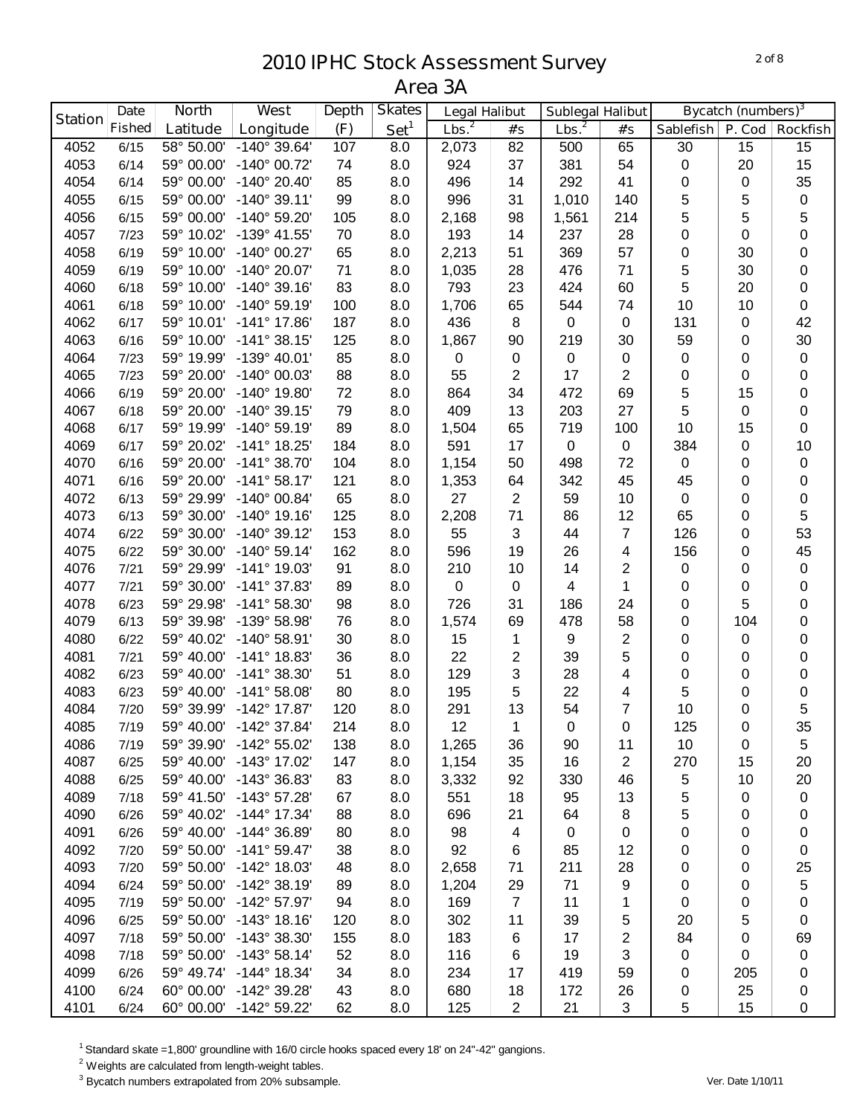|                | <b>Date</b>   | <b>North</b>        | West                    | <b>Depth</b> | <b>Skates</b>    | <b>Legal Halibut</b> |                  | <b>Sublegal Halibut</b> |                |             | <b>Bycatch (numbers)</b> <sup>3</sup> |                 |
|----------------|---------------|---------------------|-------------------------|--------------|------------------|----------------------|------------------|-------------------------|----------------|-------------|---------------------------------------|-----------------|
| <b>Station</b> | <b>Fished</b> | Latitude            | Longitude               | (F)          | Set <sup>1</sup> | Lbs. <sup>2</sup>    | #'s              | Lbs. <sup>2</sup>       | #'s            | Sablefish   | P. Cod                                | <b>Rockfish</b> |
| 4052           | 6/15          | 58° 50.00'          | -140° 39.64'            | 107          | 8.0              | 2,073                | 82               | 500                     | 65             | 30          | 15                                    | 15              |
| 4053           | 6/14          | 59° 00.00'          | -140° 00.72'            | 74           | 8.0              | 924                  | 37               | 381                     | 54             | $\pmb{0}$   | 20                                    | 15              |
| 4054           | 6/14          | 59° 00.00'          | $-140^{\circ}$ 20.40'   | 85           | 8.0              | 496                  | 14               | 292                     | 41             | 0           | 0                                     | 35              |
| 4055           | 6/15          | 59° 00.00'          | $-140^{\circ}$ 39.11'   | 99           | 8.0              | 996                  | 31               | 1,010                   | 140            | 5           | 5                                     | $\pmb{0}$       |
| 4056           | 6/15          | 59° 00.00'          | -140° 59.20'            | 105          | 8.0              | 2,168                | 98               | 1,561                   | 214            | 5           | 5                                     | 5               |
| 4057           | 7/23          | 59° 10.02'          | -139° 41.55'            | 70           | 8.0              | 193                  | 14               | 237                     | 28             | 0           | 0                                     | 0               |
| 4058           | 6/19          | 59° 10.00'          | $-140^{\circ}$ 00.27'   | 65           | 8.0              | 2,213                | 51               | 369                     | 57             | 0           | 30                                    | 0               |
| 4059           | 6/19          | 59° 10.00'          | -140° 20.07'            | 71           | 8.0              | 1,035                | 28               | 476                     | 71             | 5           | 30                                    | 0               |
| 4060           | 6/18          | 59° 10.00'          | $-140^{\circ}$ 39.16    | 83           | 8.0              | 793                  | 23               | 424                     | 60             | 5           | 20                                    | 0               |
| 4061           | 6/18          | 59° 10.00'          | $-140^{\circ}$ 59.19    | 100          | 8.0              | 1,706                | 65               | 544                     | 74             | 10          | 10                                    | $\pmb{0}$       |
| 4062           | 6/17          | 59° 10.01'          | -141° 17.86'            | 187          | 8.0              | 436                  | 8                | $\pmb{0}$               | $\pmb{0}$      | 131         | 0                                     | 42              |
| 4063           | 6/16          | 59° 10.00'          | $-141°38.15'$           | 125          | 8.0              | 1,867                | 90               | 219                     | 30             | 59          | 0                                     | 30              |
| 4064           | 7/23          | 59° 19.99'          | -139° 40.01'            | 85           | 8.0              | 0                    | $\mathbf 0$      | $\pmb{0}$               | $\pmb{0}$      | $\pmb{0}$   | 0                                     | $\pmb{0}$       |
| 4065           | 7/23          | 59° 20.00'          | -140° 00.03'            | 88           | 8.0              | 55                   | 2                | 17                      | 2              | 0           | 0                                     | $\pmb{0}$       |
| 4066           | 6/19          | 59° 20.00'          | $-140^{\circ}$ 19.80'   | 72           | 8.0              | 864                  | 34               | 472                     | 69             | 5           | 15                                    | $\mathbf 0$     |
| 4067           | 6/18          | 59° 20.00'          | $-140^{\circ}$ 39.15'   | 79           | 8.0              | 409                  | 13               | 203                     | 27             | 5           | 0                                     | $\pmb{0}$       |
| 4068           | 6/17          | 59° 19.99'          | $-140^{\circ}$ 59.19'   | 89           | 8.0              | 1,504                | 65               | 719                     | 100            | 10          | 15                                    | 0               |
| 4069           | 6/17          | 59° 20.02'          | -141° 18.25'            | 184          | 8.0              | 591                  | 17               | $\pmb{0}$               | 0              | 384         | 0                                     | 10              |
| 4070           | 6/16          | 59° 20.00'          | $-141°38.70'$           | 104          | 8.0              | 1,154                | 50               | 498                     | 72             | $\mathbf 0$ | 0                                     | $\pmb{0}$       |
| 4071           | 6/16          | 59° 20.00'          | $-141°58.17'$           | 121          | 8.0              | 1,353                | 64               | 342                     | 45             | 45          | 0                                     | 0               |
| 4072           | 6/13          | 59° 29.99'          | $-140^{\circ}$ 00.84'   | 65           | 8.0              | 27                   | $\overline{2}$   | 59                      | 10             | 0           | 0                                     | 0               |
| 4073           | 6/13          | 59° 30.00'          | $-140^{\circ}$ 19.16'   | 125          | 8.0              | 2,208                | 71               | 86                      | 12             | 65          | 0                                     | 5               |
| 4074           | 6/22          | 59° 30.00'          | $-140^{\circ}$ 39.12    | 153          | 8.0              | 55                   | 3                | 44                      | $\overline{7}$ | 126         | 0                                     | 53              |
| 4075           | 6/22          | 59° 30.00'          | $-140^{\circ}$ 59.14    | 162          | 8.0              | 596                  | 19               | 26                      | 4              | 156         | 0                                     | 45              |
| 4076           | 7/21          | 59° 29.99'          | $-141^{\circ}$ 19.03'   | 91           | 8.0              | 210                  | 10               | 14                      | $\overline{2}$ | $\pmb{0}$   | 0                                     | $\pmb{0}$       |
| 4077           | 7/21          | 59° 30.00'          | $-141°37.83'$           | 89           | 8.0              | $\mathbf 0$          | $\boldsymbol{0}$ | 4                       | $\mathbf{1}$   | 0           | 0                                     | $\pmb{0}$       |
| 4078           | 6/23          | 59° 29.98'          | -141° 58.30'            | 98           | 8.0              | 726                  | 31               | 186                     | 24             | 0           | 5                                     | 0               |
| 4079           | 6/13          | 59° 39.98'          | -139° 58.98'            | 76           | 8.0              | 1,574                | 69               | 478                     | 58             | 0           | 104                                   | 0               |
| 4080           | 6/22          | 59° 40.02'          | -140° 58.91'            | 30           | 8.0              | 15                   | 1                | 9                       | $\overline{2}$ | 0           | 0                                     | 0               |
| 4081           | 7/21          | 59° 40.00'          | -141° 18.83'            | 36           | 8.0              | 22                   | 2                | 39                      | 5              | 0           | 0                                     | 0               |
| 4082           | 6/23          | 59° 40.00'          | $-141°38.30'$           | 51           | 8.0              | 129                  | 3                | 28                      | 4              | 0           | 0                                     | 0               |
| 4083           | 6/23          | 59° 40.00'          | $-141°58.08'$           | 80           | 8.0              | 195                  | 5                | 22                      | 4              | 5           | 0                                     | 0               |
| 4084           | 7/20          | 59° 39.99'          | $-142^{\circ}$ 17.87    | 120          | 8.0              | 291                  | 13               | 54                      | 7              | 10          | 0                                     | 5               |
| 4085           | 7/19          |                     | 59° 40.00' -142° 37.84' | 214          | 8.0              | 12                   | $\mathbf 1$      | $\pmb{0}$               | $\pmb{0}$      | 125         | 0                                     | 35              |
| 4086           | 7/19          | $59^{\circ}$ 39.90' | -142° 55.02'            | 138          | 8.0              | 1,265                | 36               | 90                      | 11             | 10          | 0                                     | 5               |
| 4087           | 6/25          | 59° 40.00'          | -143° 17.02'            | 147          | 8.0              | 1,154                | 35               | 16                      | $\overline{2}$ | 270         | 15                                    | 20              |
| 4088           | 6/25          | 59° 40.00'          | -143° 36.83'            | 83           | 8.0              | 3,332                | 92               | 330                     | 46             | 5           | 10                                    | 20              |
| 4089           | 7/18          | 59° 41.50'          | $-143^{\circ}$ 57.28    | 67           | 8.0              | 551                  | 18               | 95                      | 13             | 5           | 0                                     | $\pmb{0}$       |
| 4090           | 6/26          | 59° 40.02'          | $-144^{\circ}$ 17.34'   | 88           | 8.0              | 696                  | 21               | 64                      | 8              | 5           | 0                                     | 0               |
| 4091           | 6/26          | 59° 40.00'          | $-144^{\circ}$ 36.89'   | 80           | 8.0              | 98                   | 4                | $\mathbf 0$             | 0              | 0           | 0                                     | 0               |
| 4092           | 7/20          | 59° 50.00'          | $-141^{\circ} 59.47'$   | 38           | 8.0              | 92                   | 6                | 85                      | 12             | 0           | 0                                     | 0               |
| 4093           | 7/20          | 59° 50.00'          | $-142^{\circ}$ 18.03'   | 48           | 8.0              | 2,658                | 71               | 211                     | 28             | 0           | 0                                     | 25              |
| 4094           | 6/24          | 59° 50.00'          | -142° 38.19'            | 89           | 8.0              | 1,204                | 29               | 71                      | 9              | 0           | 0                                     | 5               |
| 4095           | 7/19          | 59° 50.00'          | -142° 57.97'            | 94           | 8.0              | 169                  | $\overline{7}$   | 11                      | 1              | 0           | 0                                     | 0               |
| 4096           | 6/25          | 59° 50.00'          | $-143°$ 18.16'          | 120          | 8.0              | 302                  | 11               | 39                      | 5              | 20          | 5                                     | $\pmb{0}$       |
| 4097           | 7/18          | 59° 50.00'          | $-143^{\circ}$ 38.30    | 155          | 8.0              | 183                  | 6                | 17                      | 2              | 84          | 0                                     | 69              |
| 4098           | 7/18          | 59° 50.00'          | $-143°58.14'$           | 52           | 8.0              | 116                  | 6                | 19                      | 3              | 0           | 0                                     | 0               |
| 4099           | 6/26          | 59° 49.74'          | $-144^{\circ}$ 18.34'   | 34           | 8.0              | 234                  | 17               | 419                     | 59             | 0           | 205                                   | 0               |
| 4100           | 6/24          | 60° 00.00'          | -142° 39.28'            | 43           | 8.0              | 680                  | 18               | 172                     | 26             | 0           | 25                                    | 0               |
| 4101           | 6/24          | 60° 00.00'          | -142° 59.22'            | 62           | 8.0              | 125                  | $\overline{2}$   | 21                      | 3              | 5           | 15                                    | 0               |

Standard skate =1,800' groundline with 16/0 circle hooks spaced every 18' on 24"-42" gangions.

Weights are calculated from length-weight tables.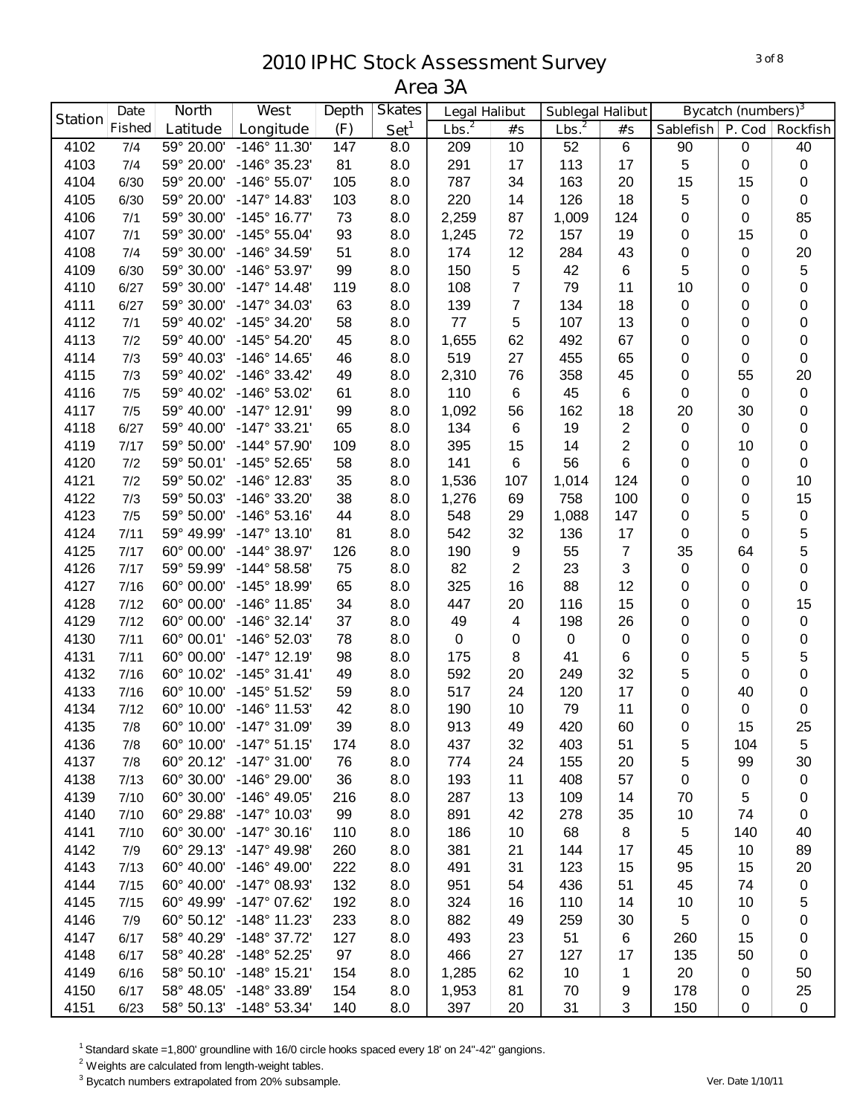|                | <b>Date</b>   | <b>North</b> | <b>West</b>             | <b>Depth</b> | <b>Skates</b>    | <b>Legal Halibut</b> |                  | <b>Sublegal Halibut</b> |                |                  | <b>Bycatch (numbers)</b> <sup>3</sup> |                 |
|----------------|---------------|--------------|-------------------------|--------------|------------------|----------------------|------------------|-------------------------|----------------|------------------|---------------------------------------|-----------------|
| <b>Station</b> | <b>Fished</b> | Latitude     | Longitude               | (F)          | Set <sup>1</sup> | Lbs. <sup>2</sup>    | #'s              | Lbs. <sup>2</sup>       | #'s            | <b>Sablefish</b> | P. Cod                                | <b>Rockfish</b> |
| 4102           | 7/4           | 59° 20.00'   | $-146^{\circ}$ 11.30'   | 147          | 8.0              | 209                  | 10               | 52                      | $\,6\,$        | 90               | 0                                     | 40              |
| 4103           | 7/4           | 59° 20.00'   | -146° 35.23'            | 81           | 8.0              | 291                  | 17               | 113                     | 17             | 5                | 0                                     | $\pmb{0}$       |
| 4104           | 6/30          | 59° 20.00'   | -146° 55.07'            | 105          | 8.0              | 787                  | 34               | 163                     | 20             | 15               | 15                                    | $\pmb{0}$       |
| 4105           | 6/30          | 59° 20.00'   | $-147^{\circ}$ 14.83'   | 103          | 8.0              | 220                  | 14               | 126                     | 18             | 5                | 0                                     | $\pmb{0}$       |
| 4106           | 7/1           | 59° 30.00'   | $-145^{\circ}$ 16.77'   | 73           | 8.0              | 2,259                | 87               | 1,009                   | 124            | 0                | 0                                     | 85              |
| 4107           | 7/1           | 59° 30.00'   | -145° 55.04'            | 93           | 8.0              | 1,245                | 72               | 157                     | 19             | 0                | 15                                    | $\pmb{0}$       |
| 4108           | 7/4           | 59° 30.00'   | -146° 34.59'            | 51           | 8.0              | 174                  | 12               | 284                     | 43             | 0                | 0                                     | 20              |
| 4109           | 6/30          | 59° 30.00'   | -146° 53.97'            | 99           | 8.0              | 150                  | 5                | 42                      | $\,6$          | 5                | 0                                     | 5               |
| 4110           | 6/27          | 59° 30.00'   | $-147^{\circ}$ 14.48'   | 119          | 8.0              | 108                  | 7                | 79                      | 11             | 10               | 0                                     | 0               |
| 4111           | 6/27          | 59° 30.00'   | $-147^{\circ}$ 34.03'   | 63           | 8.0              | 139                  | 7                | 134                     | 18             | 0                | 0                                     | 0               |
| 4112           | 7/1           | 59° 40.02'   | -145° 34.20'            | 58           | 8.0              | 77                   | 5                | 107                     | 13             | 0                | 0                                     | 0               |
| 4113           | 7/2           | 59° 40.00'   | $-145^{\circ} 54.20'$   | 45           | 8.0              | 1,655                | 62               | 492                     | 67             | 0                | 0                                     | 0               |
| 4114           | 7/3           | 59° 40.03'   | $-146^{\circ}$ 14.65'   | 46           | 8.0              | 519                  | 27               | 455                     | 65             | 0                | 0                                     | $\pmb{0}$       |
| 4115           | 7/3           | 59° 40.02'   | $-146°33.42'$           | 49           | 8.0              | 2,310                | 76               | 358                     | 45             | 0                | 55                                    | 20              |
| 4116           | 7/5           | 59° 40.02'   | -146° 53.02'            | 61           | 8.0              | 110                  | $\,6\,$          | 45                      | $\,6\,$        | $\pmb{0}$        | 0                                     | $\pmb{0}$       |
| 4117           | 7/5           | 59° 40.00'   | $-147°$ 12.91'          | 99           | 8.0              | 1,092                | 56               | 162                     | 18             | 20               | 30                                    | $\pmb{0}$       |
| 4118           | 6/27          | 59° 40.00'   | $-147°33.21'$           | 65           | 8.0              | 134                  | $\,6$            | 19                      | $\overline{2}$ | 0                | 0                                     | $\pmb{0}$       |
| 4119           | 7/17          | 59° 50.00'   | -144° 57.90'            | 109          | 8.0              | 395                  | 15               | 14                      | $\overline{c}$ | 0                | 10                                    | $\pmb{0}$       |
| 4120           | 7/2           | 59° 50.01'   | $-145^{\circ}$ 52.65'   | 58           | 8.0              | 141                  | 6                | 56                      | $6\phantom{1}$ | 0                | 0                                     | $\pmb{0}$       |
| 4121           | 7/2           | 59° 50.02'   | $-146^{\circ}$ 12.83'   | 35           | 8.0              | 1,536                | 107              | 1,014                   | 124            | 0                | 0                                     | 10              |
| 4122           | 7/3           | 59° 50.03'   | -146° 33.20'            | 38           | 8.0              | 1,276                | 69               | 758                     | 100            | 0                | 0                                     | 15              |
| 4123           | 7/5           | 59° 50.00'   | $-146°53.16'$           | 44           | 8.0              | 548                  | 29               | 1,088                   | 147            | 0                | 5                                     | $\pmb{0}$       |
| 4124           | 7/11          | 59° 49.99'   | $-147^{\circ}$ 13.10'   | 81           | 8.0              | 542                  | 32               | 136                     | 17             | 0                | 0                                     | 5               |
| 4125           | 7/17          | 60° 00.00'   | -144° 38.97'            | 126          | 8.0              | 190                  | $\boldsymbol{9}$ | 55                      | $\overline{7}$ | 35               | 64                                    | 5               |
| 4126           | 7/17          | 59° 59.99'   | $-144^{\circ} 58.58'$   | 75           | 8.0              | 82                   | $\overline{2}$   | 23                      | 3              | 0                | 0                                     | 0               |
| 4127           | 7/16          | 60° 00.00'   | -145° 18.99'            | 65           | 8.0              | 325                  | 16               | 88                      | 12             | 0                | 0                                     | 0               |
| 4128           | 7/12          | 60° 00.00'   | $-146^{\circ}$ 11.85'   | 34           | 8.0              | 447                  | 20               | 116                     | 15             | 0                | 0                                     | 15              |
| 4129           | 7/12          | 60° 00.00'   | $-146°32.14'$           | 37           | 8.0              | 49                   | 4                | 198                     | 26             | 0                | 0                                     | $\pmb{0}$       |
| 4130           | 7/11          | 60° 00.01'   | -146° 52.03'            | 78           | 8.0              | $\pmb{0}$            | 0                | $\mathbf 0$             | $\pmb{0}$      | 0                | 0                                     | $\pmb{0}$       |
| 4131           | 7/11          | 60° 00.00'   | $-147°$ 12.19'          | 98           | 8.0              | 175                  | 8                | 41                      | $\,6$          | 0                | 5                                     | 5               |
| 4132           | 7/16          | 60° 10.02'   | $-145^{\circ}$ 31.41'   | 49           | 8.0              | 592                  | 20               | 249                     | 32             | 5                | 0                                     | 0               |
| 4133           | 7/16          | 60° 10.00'   | $-145^{\circ} 51.52'$   | 59           | 8.0              | 517                  | 24               | 120                     | 17             | 0                | 40                                    | $\pmb{0}$       |
| 4134           | 7/12          | 60° 10.00'   | $-146^{\circ}$ 11.53'   | 42           | 8.0              | 190                  | 10               | 79                      | 11             | 0                | 0                                     | $\pmb{0}$       |
| 4135           | 7/8           |              | 60° 10.00' -147° 31.09' | 39           | 8.0              | 913                  | 49               | 420                     | 60             | $\Omega$         | 15                                    | 25              |
| 4136           | 7/8           | 60° 10.00'   | $-147^{\circ}$ 51.15'   | 174          | 8.0              | 437                  | 32               | 403                     | 51             | 5                | 104                                   | 5               |
| 4137           | 7/8           | 60° 20.12'   | $-147^{\circ}$ 31.00'   | 76           | 8.0              | 774                  | 24               | 155                     | 20             | 5                | 99                                    | 30              |
| 4138           | 7/13          | 60° 30.00'   | -146° 29.00'            | 36           | 8.0              | 193                  | 11               | 408                     | 57             | 0                | 0                                     | 0               |
| 4139           | 7/10          | 60° 30.00'   | $-146^{\circ}$ 49.05'   | 216          | 8.0              | 287                  | 13               | 109                     | 14             | 70               | 5                                     | 0               |
| 4140           | 7/10          | 60° 29.88'   | $-147^{\circ}$ 10.03'   | 99           | 8.0              | 891                  | 42               | 278                     | 35             | 10               | 74                                    | $\pmb{0}$       |
| 4141           | 7/10          | 60° 30.00'   | $-147°30.16'$           | 110          | 8.0              | 186                  | 10               | 68                      | 8              | 5                | 140                                   | 40              |
| 4142           | 7/9           | 60° 29.13'   | -147° 49.98'            | 260          | 8.0              | 381                  | 21               | 144                     | 17             | 45               | 10                                    | 89              |
| 4143           | 7/13          | 60° 40.00'   | $-146^{\circ}$ 49.00'   | 222          | 8.0              | 491                  | 31               | 123                     | 15             | 95               | 15                                    | 20              |
| 4144           | 7/15          | 60° 40.00'   | -147° 08.93'            | 132          | 8.0              | 951                  | 54               | 436                     | 51             | 45               | 74                                    | $\pmb{0}$       |
| 4145           | 7/15          | 60° 49.99'   | $-147^{\circ}$ 07.62'   | 192          | 8.0              | 324                  | 16               | 110                     | 14             | 10               | 10                                    | 5               |
| 4146           | 7/9           | 60° 50.12'   | $-148^\circ$ 11.23'     | 233          | 8.0              | 882                  | 49               | 259                     | 30             | 5                | 0                                     | 0               |
| 4147           | 6/17          | 58° 40.29'   | $-148°37.72'$           | 127          | 8.0              | 493                  | 23               | 51                      | 6              | 260              | 15                                    | 0               |
| 4148           | 6/17          | 58° 40.28'   | $-148°52.25'$           | 97           | 8.0              | 466                  | 27               | 127                     | 17             | 135              | 50                                    | 0               |
| 4149           | 6/16          | 58° 50.10'   | $-148°$ 15.21'          | 154          | 8.0              | 1,285                | 62               | 10                      | 1              | 20               | 0                                     | 50              |
| 4150           | 6/17          | 58° 48.05'   | -148° 33.89'            | 154          | 8.0              | 1,953                | 81               | 70                      | 9              | 178              | 0                                     | 25              |
| 4151           | 6/23          | 58° 50.13'   | $-148°53.34'$           | 140          | 8.0              | 397                  | 20               | 31                      | 3              | 150              | 0                                     | 0               |

Standard skate =1,800' groundline with 16/0 circle hooks spaced every 18' on 24"-42" gangions.

Weights are calculated from length-weight tables.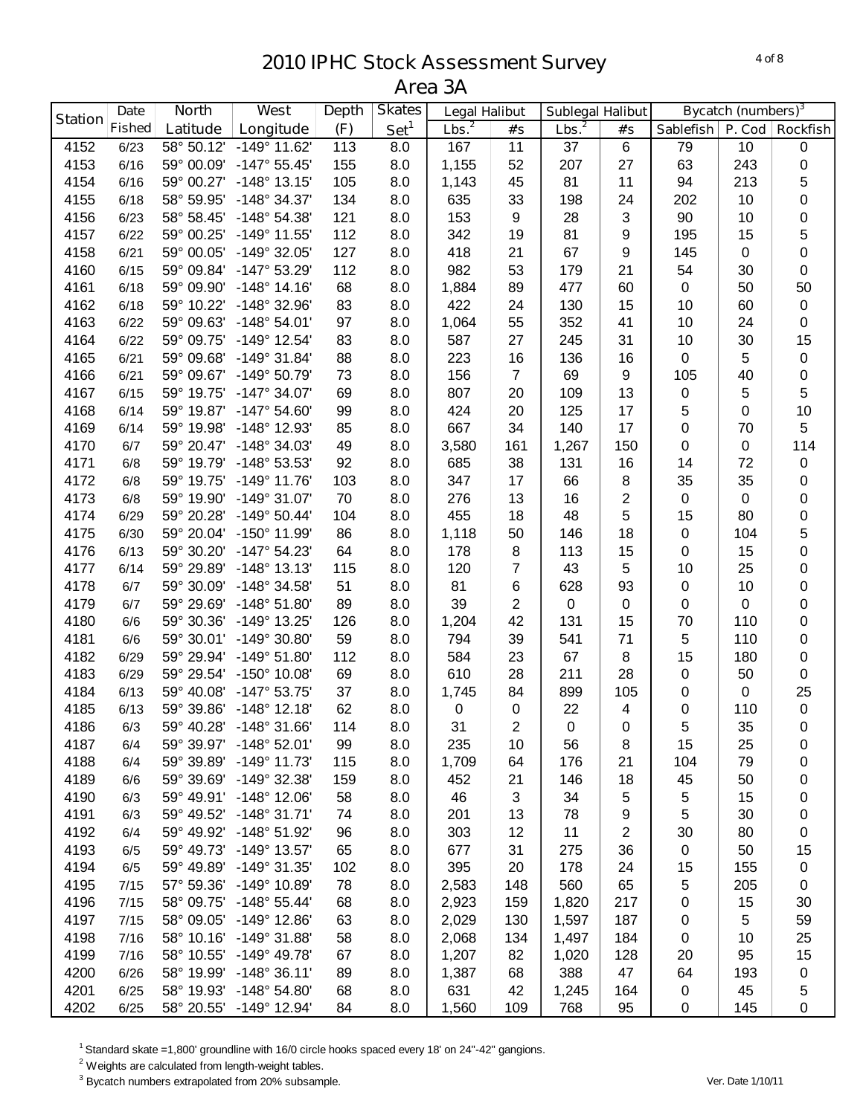|                | <b>Date</b>   | <b>North</b> | West                           | <b>Depth</b> | <b>Skates</b>    | <b>Legal Halibut</b> |                     | <b>Sublegal Halibut</b> |                         |                | <b>Bycatch (numbers)</b> <sup>3</sup> |                          |
|----------------|---------------|--------------|--------------------------------|--------------|------------------|----------------------|---------------------|-------------------------|-------------------------|----------------|---------------------------------------|--------------------------|
| <b>Station</b> | <b>Fished</b> | Latitude     | Longitude                      | (F)          | Set <sup>1</sup> | Lbs. <sup>2</sup>    | #'s                 | Lbs. <sup>2</sup>       | #'s                     | Sablefish      |                                       | P. Cod   Rockfish        |
| 4152           | 6/23          | 58° 50.12'   | $-149°$ 11.62                  | 113          | 8.0              | 167                  | 11                  | 37                      | 6                       | 79             | 10                                    | $\pmb{0}$                |
| 4153           | 6/16          | 59° 00.09'   | $-147^{\circ} 55.45'$          | 155          | 8.0              | 1,155                | 52                  | 207                     | 27                      | 63             | 243                                   | $\pmb{0}$                |
| 4154           | 6/16          | 59° 00.27'   | $-148°$ 13.15'                 | 105          | 8.0              | 1,143                | 45                  | 81                      | 11                      | 94             | 213                                   | 5                        |
| 4155           | 6/18          | 58° 59.95'   | -148° 34.37'                   | 134          | 8.0              | 635                  | 33                  | 198                     | 24                      | 202            | 10                                    | $\boldsymbol{0}$         |
| 4156           | 6/23          | 58° 58.45'   | $-148°54.38'$                  | 121          | 8.0              | 153                  | 9                   | 28                      | 3                       | 90             | 10                                    | $\pmb{0}$                |
| 4157           | 6/22          | 59° 00.25'   | $-149°$ 11.55'                 | 112          | 8.0              | 342                  | 19                  | 81                      | 9                       | 195            | 15                                    | 5                        |
| 4158           | 6/21          | 59° 00.05'   | $-149°32.05'$                  | 127          | 8.0              | 418                  | 21                  | 67                      | 9                       | 145            | 0                                     | $\pmb{0}$                |
| 4160           | 6/15          | 59° 09.84'   | -147° 53.29'                   | 112          | 8.0              | 982                  | 53                  | 179                     | 21                      | 54             | 30                                    | $\pmb{0}$                |
| 4161           | 6/18          | 59° 09.90'   | $-148°$ 14.16                  | 68           | 8.0              | 1,884                | 89                  | 477                     | 60                      | $\mathbf 0$    | 50                                    | 50                       |
| 4162           | 6/18          | 59° 10.22'   | -148° 32.96'                   | 83           | 8.0              | 422                  | 24                  | 130                     | 15                      | 10             | 60                                    | $\pmb{0}$                |
| 4163           | 6/22          | 59° 09.63'   | $-148°54.01'$                  | 97           | 8.0              | 1,064                | 55                  | 352                     | 41                      | 10             | 24                                    | $\pmb{0}$                |
| 4164           | 6/22          | 59° 09.75'   | -149° 12.54'                   | 83           | 8.0              | 587                  | 27                  | 245                     | 31                      | 10             | 30                                    | 15                       |
| 4165           | 6/21          | 59° 09.68'   | $-149°31.84'$                  | 88           | 8.0              | 223                  | 16                  | 136                     | 16                      | $\pmb{0}$      | 5                                     | $\pmb{0}$                |
| 4166           | 6/21          | 59° 09.67'   | -149° 50.79'                   | 73           | 8.0              | 156                  | $\overline{7}$      | 69                      | $\boldsymbol{9}$        | 105            | 40                                    | $\pmb{0}$                |
| 4167           | 6/15          | 59° 19.75'   | $-147^{\circ}$ 34.07'          | 69           | 8.0              | 807                  | 20                  | 109                     | 13                      | $\pmb{0}$      | 5                                     | 5                        |
| 4168           | 6/14          | 59° 19.87'   | $-147^{\circ} 54.60'$          | 99           | 8.0              | 424                  | 20                  | 125                     | 17                      | 5              | 0                                     | 10                       |
| 4169           | 6/14          | 59° 19.98'   | -148° 12.93'                   | 85           | 8.0              | 667                  | 34                  | 140                     | 17                      | 0              | 70                                    | 5                        |
| 4170           | 6/7           | 59° 20.47'   | -148° 34.03'                   | 49           | 8.0              | 3,580                | 161                 | 1,267                   | 150                     | 0              | 0                                     | 114                      |
| 4171           | 6/8           | 59° 19.79'   | -148° 53.53'                   | 92           | 8.0              | 685                  | 38                  | 131                     | 16                      | 14             | 72                                    | $\pmb{0}$                |
| 4172           | 6/8           | 59° 19.75'   | $-149°$ 11.76                  | 103          | 8.0              | 347                  | 17                  | 66                      | 8                       | 35             | 35                                    | $\pmb{0}$                |
| 4173           | 6/8           | 59° 19.90'   | $-149°31.07'$                  | 70           | 8.0              | 276                  | 13                  | 16                      | 2                       | 0              | 0                                     | 0                        |
| 4174           |               | 59° 20.28'   | $-149°$ 50.44'                 | 104          | 8.0              | 455                  | 18                  | 48                      | 5                       | 15             | 80                                    | 0                        |
| 4175           | 6/29<br>6/30  | 59° 20.04'   | -150° 11.99'                   | 86           | 8.0              | 1,118                | 50                  | 146                     | 18                      |                | 104                                   |                          |
| 4176           | 6/13          | 59° 30.20'   | $-147^{\circ}$ 54.23'          | 64           | 8.0              | 178                  | 8                   | 113                     | 15                      | 0<br>0         | 15                                    | 5<br>0                   |
| 4177           | 6/14          | 59° 29.89'   | $-148°$ 13.13'                 | 115          | 8.0              | 120                  | 7                   | 43                      | 5                       | 10             | 25                                    | $\pmb{0}$                |
|                |               | 59° 30.09'   | -148° 34.58'                   | 51           |                  | 81                   |                     | 628                     | 93                      |                | 10                                    | $\pmb{0}$                |
| 4178<br>4179   | 6/7<br>6/7    | 59° 29.69'   | $-148°51.80'$                  | 89           | 8.0<br>8.0       | 39                   | 6<br>$\overline{2}$ | $\pmb{0}$               | $\pmb{0}$               | $\pmb{0}$<br>0 | 0                                     | $\pmb{0}$                |
|                |               |              | -149° 13.25'                   |              |                  |                      |                     |                         | 15                      |                |                                       |                          |
| 4180           | 6/6           | 59° 30.36'   |                                | 126          | 8.0              | 1,204                | 42                  | 131                     | 71                      | 70             | 110                                   | $\pmb{0}$                |
| 4181           | 6/6           | 59° 30.01'   | $-149°30.80'$                  | 59           | 8.0              | 794                  | 39                  | 541                     | $\, 8$                  | 5              | 110                                   | $\pmb{0}$                |
| 4182           | 6/29          | 59° 29.94'   | $-149°51.80'$                  | 112          | 8.0              | 584                  | 23                  | 67                      |                         | 15             | 180                                   | $\pmb{0}$<br>$\mathbf 0$ |
| 4183           | 6/29          | 59° 29.54'   | -150° 10.08'                   | 69           | 8.0              | 610                  | 28                  | 211                     | 28                      | $\pmb{0}$      | 50                                    |                          |
| 4184           | 6/13          | 59° 40.08'   | $-147°53.75'$<br>$-148°$ 12.18 | 37<br>62     | 8.0              | 1,745                | 84                  | 899                     | 105                     | 0              | 0                                     | 25                       |
| 4185           | 6/13          | 59° 39.86'   |                                |              | 8.0              | $\pmb{0}$            | $\pmb{0}$           | 22                      | $\overline{\mathbf{4}}$ | 0<br>5         | 110                                   | $\pmb{0}$<br>$\mathbf 0$ |
| 4186           | 6/3           |              | 59° 40.28' -148° 31.66'        | 114          | 8.0              | 31                   | $\mathbf 2$         | $\mathbf 0$             | $\mathbf 0$             |                | 35                                    |                          |
| 4187           | 6/4           | 59° 39.97'   | $-148°52.01'$                  | 99           | 8.0              | 235                  | 10                  | 56                      | 8                       | 15             | 25                                    | 0                        |
| 4188           | 6/4           | 59° 39.89'   | $-149°$ 11.73                  | 115          | 8.0              | 1,709                | 64                  | 176                     | 21                      | 104            | 79                                    | 0                        |
| 4189           | 6/6           | 59° 39.69'   | -149° 32.38'                   | 159          | 8.0              | 452                  | 21                  | 146                     | 18                      | 45             | 50                                    | 0                        |
| 4190           | 6/3           | 59° 49.91'   | $-148^\circ$ 12.06             | 58           | 8.0              | 46                   | 3                   | 34                      | 5                       | 5              | 15                                    | 0                        |
| 4191           | 6/3           | 59° 49.52'   | $-148°31.71'$                  | 74           | 8.0              | 201                  | 13                  | 78                      | 9                       | 5              | 30                                    | 0                        |
| 4192           | 6/4           | 59° 49.92'   | -148° 51.92'                   | 96           | 8.0              | 303                  | 12                  | 11                      | 2                       | 30             | 80                                    | 0                        |
| 4193           | 6/5           | 59° 49.73'   | -149° 13.57'                   | 65           | 8.0              | 677                  | 31                  | 275                     | 36                      | 0              | 50                                    | 15                       |
| 4194           | 6/5           | 59° 49.89'   | $-149°$ 31.35                  | 102          | 8.0              | 395                  | 20                  | 178                     | 24                      | 15             | 155                                   | 0                        |
| 4195           | 7/15          | 57° 59.36'   | -149° 10.89'                   | 78           | 8.0              | 2,583                | 148                 | 560                     | 65                      | 5              | 205                                   | 0                        |
| 4196           | 7/15          | 58° 09.75'   | $-148^{\circ}$ 55.44'          | 68           | 8.0              | 2,923                | 159                 | 1,820                   | 217                     | 0              | 15                                    | 30                       |
| 4197           | 7/15          | 58° 09.05'   | $-149°$ 12.86                  | 63           | 8.0              | 2,029                | 130                 | 1,597                   | 187                     | 0              | 5                                     | 59                       |
| 4198           | 7/16          | 58° 10.16'   | $-149°31.88'$                  | 58           | 8.0              | 2,068                | 134                 | 1,497                   | 184                     | 0              | 10                                    | 25                       |
| 4199           | 7/16          | 58° 10.55'   | -149° 49.78'                   | 67           | 8.0              | 1,207                | 82                  | 1,020                   | 128                     | 20             | 95                                    | 15                       |
| 4200           | 6/26          | 58° 19.99'   | $-148°36.11'$                  | 89           | 8.0              | 1,387                | 68                  | 388                     | 47                      | 64             | 193                                   | 0                        |
| 4201           | 6/25          | 58° 19.93'   | $-148^{\circ} 54.80'$          | 68           | 8.0              | 631                  | 42                  | 1,245                   | 164                     | $\pmb{0}$      | 45                                    | $\,$ 5 $\,$              |
| 4202           | 6/25          | 58° 20.55'   | $-149°$ 12.94                  | 84           | 8.0              | 1,560                | 109                 | 768                     | 95                      | $\pmb{0}$      | 145                                   | 0                        |

Standard skate =1,800' groundline with 16/0 circle hooks spaced every 18' on 24"-42" gangions.

Weights are calculated from length-weight tables.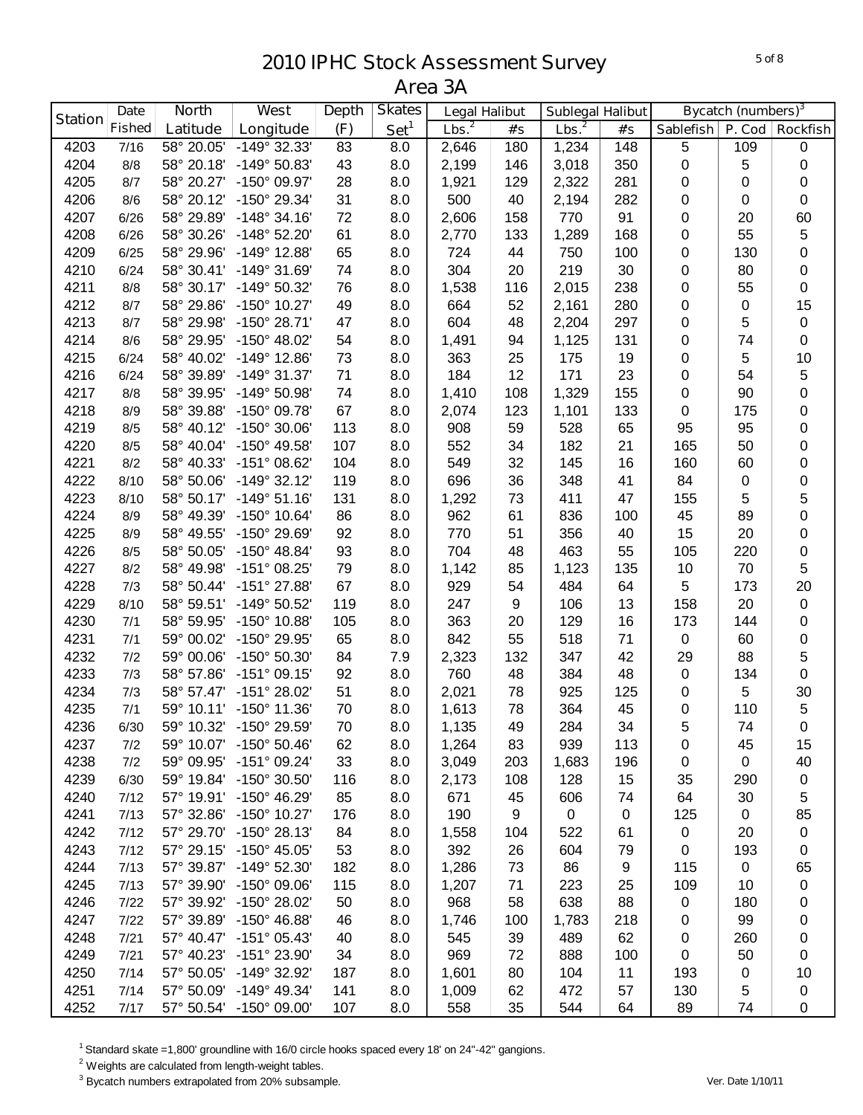|                | <b>Date</b>   | <b>North</b> | West                    | <b>Depth</b> | <b>Skates</b>    | <b>Legal Halibut</b> |     | <b>Sublegal Halibut</b> |             |                  | <b>Bycatch (numbers)</b> <sup>3</sup> |                 |
|----------------|---------------|--------------|-------------------------|--------------|------------------|----------------------|-----|-------------------------|-------------|------------------|---------------------------------------|-----------------|
| <b>Station</b> | <b>Fished</b> | Latitude     | Longitude               | (F)          | Set <sup>1</sup> | Lbs. <sup>2</sup>    | #'s | Lbs. <sup>2</sup>       | #'s         | <b>Sablefish</b> | P. Cod                                | <b>Rockfish</b> |
| 4203           | 7/16          | 58° 20.05'   | -149° 32.33'            | 83           | 8.0              | 2,646                | 180 | 1,234                   | 148         | $\,$ 5 $\,$      | 109                                   | $\pmb{0}$       |
| 4204           | 8/8           | 58° 20.18'   | -149° 50.83'            | 43           | 8.0              | 2,199                | 146 | 3,018                   | 350         | 0                | 5                                     | $\pmb{0}$       |
| 4205           | 8/7           | 58° 20.27'   | -150° 09.97'            | 28           | 8.0              | 1,921                | 129 | 2,322                   | 281         | 0                | 0                                     | $\pmb{0}$       |
| 4206           | 8/6           | 58° 20.12'   | -150° 29.34'            | 31           | 8.0              | 500                  | 40  | 2,194                   | 282         | 0                | 0                                     | $\pmb{0}$       |
| 4207           | 6/26          | 58° 29.89'   | $-148°34.16'$           | 72           | 8.0              | 2,606                | 158 | 770                     | 91          | 0                | 20                                    | 60              |
| 4208           | 6/26          | 58° 30.26'   | -148° 52.20'            | 61           | 8.0              | 2,770                | 133 | 1,289                   | 168         | 0                | 55                                    | 5               |
| 4209           | 6/25          | 58° 29.96'   | $-149°$ 12.88           | 65           | 8.0              | 724                  | 44  | 750                     | 100         | 0                | 130                                   | 0               |
| 4210           | 6/24          | 58° 30.41'   | $-149°31.69'$           | 74           | 8.0              | 304                  | 20  | 219                     | 30          | 0                | 80                                    | $\pmb{0}$       |
| 4211           | 8/8           | 58° 30.17'   | -149° 50.32'            | 76           | 8.0              | 1,538                | 116 | 2,015                   | 238         | 0                | 55                                    | 0               |
| 4212           | 8/7           | 58° 29.86'   | -150° 10.27'            | 49           | 8.0              | 664                  | 52  | 2,161                   | 280         | 0                | 0                                     | 15              |
| 4213           | 8/7           | 58° 29.98'   | -150° 28.71'            | 47           | 8.0              | 604                  | 48  | 2,204                   | 297         | 0                | 5                                     | $\pmb{0}$       |
| 4214           | 8/6           | 58° 29.95'   | -150° 48.02'            | 54           | 8.0              | 1,491                | 94  | 1,125                   | 131         | 0                | 74                                    | $\pmb{0}$       |
| 4215           | 6/24          | 58° 40.02'   | -149° 12.86'            | 73           | 8.0              | 363                  | 25  | 175                     | 19          | 0                | 5                                     | 10              |
| 4216           | 6/24          | 58° 39.89'   | -149° 31.37'            | 71           | 8.0              | 184                  | 12  | 171                     | 23          | 0                | 54                                    | 5               |
| 4217           | 8/8           | 58° 39.95'   | -149° 50.98'            | 74           | 8.0              | 1,410                | 108 | 1,329                   | 155         | 0                | 90                                    | 0               |
| 4218           | 8/9           | 58° 39.88'   | -150° 09.78'            | 67           | 8.0              | 2,074                | 123 | 1,101                   | 133         | 0                | 175                                   | 0               |
| 4219           | 8/5           | 58° 40.12'   | -150° 30.06'            | 113          | 8.0              | 908                  | 59  | 528                     | 65          | 95               | 95                                    | 0               |
| 4220           | 8/5           | 58° 40.04'   | -150° 49.58'            | 107          | 8.0              | 552                  | 34  | 182                     | 21          | 165              | 50                                    | 0               |
| 4221           | 8/2           | 58° 40.33'   | -151° 08.62'            | 104          | 8.0              | 549                  | 32  | 145                     | 16          | 160              | 60                                    | 0               |
| 4222           | 8/10          | 58° 50.06'   | $-149°32.12'$           | 119          | 8.0              | 696                  | 36  | 348                     | 41          | 84               | 0                                     | 0               |
| 4223           | 8/10          | 58° 50.17'   | $-149°51.16'$           | 131          | 8.0              | 1,292                | 73  | 411                     | 47          | 155              | 5                                     | 5               |
| 4224           | 8/9           | 58° 49.39'   | -150° 10.64'            | 86           | 8.0              | 962                  | 61  | 836                     | 100         | 45               | 89                                    | 0               |
| 4225           | 8/9           | 58° 49.55'   | -150° 29.69'            | 92           | 8.0              | 770                  | 51  | 356                     | 40          | 15               | 20                                    | 0               |
| 4226           | 8/5           | 58° 50.05'   | $-150^{\circ}$ 48.84'   | 93           | 8.0              | 704                  | 48  | 463                     | 55          | 105              | 220                                   | $\pmb{0}$       |
| 4227           | 8/2           | 58° 49.98'   | -151° 08.25'            | 79           | 8.0              | 1,142                | 85  | 1,123                   | 135         | 10               | 70                                    | 5               |
| 4228           | 7/3           | 58° 50.44'   | -151° 27.88'            | 67           | 8.0              | 929                  | 54  | 484                     | 64          | 5                | 173                                   | 20              |
| 4229           | 8/10          | 58° 59.51'   | -149° 50.52'            | 119          | 8.0              | 247                  | 9   | 106                     | 13          | 158              | 20                                    | $\pmb{0}$       |
| 4230           | 7/1           | 58° 59.95'   | $-150^{\circ}$ 10.88'   | 105          | 8.0              | 363                  | 20  | 129                     | 16          | 173              | 144                                   | $\pmb{0}$       |
| 4231           | 7/1           | 59° 00.02'   | -150° 29.95'            | 65           | 8.0              | 842                  | 55  | 518                     | 71          | 0                | 60                                    | $\pmb{0}$       |
| 4232           | 7/2           | 59° 00.06'   | -150° 50.30'            | 84           | 7.9              | 2,323                | 132 | 347                     | 42          | 29               | 88                                    | 5               |
| 4233           | 7/3           | 58° 57.86'   | -151° 09.15'            | 92           | 8.0              | 760                  | 48  | 384                     | 48          | 0                | 134                                   | $\pmb{0}$       |
| 4234           | 7/3           | 58° 57.47'   | -151° 28.02'            | 51           | 8.0              | 2,021                | 78  | 925                     | 125         | 0                | 5                                     | 30              |
| 4235           | 7/1           | 59° 10.11'   | $-150^{\circ}$ 11.36'   | 70           | 8.0              | 1,613                | 78  | 364                     | 45          | 0                | 110                                   | $\sqrt{5}$      |
| 4236           | 6/30          |              | 59° 10.32' -150° 29.59' | $70\,$       | 8.0              | 1,135                | 49  | 284                     | 34          | 5                | 74                                    | 0               |
| 4237           | 7/2           | 59° 10.07'   | $-150^{\circ} 50.46'$   | 62           | 8.0              | 1,264                | 83  | 939                     | 113         | 0                | 45                                    | 15              |
| 4238           | 7/2           | 59° 09.95'   | $-151^{\circ}$ 09.24'   | 33           | 8.0              | 3,049                | 203 | 1,683                   | 196         | 0                | 0                                     | 40              |
| 4239           | 6/30          | 59° 19.84'   | -150° 30.50'            | 116          | 8.0              | 2,173                | 108 | 128                     | 15          | 35               | 290                                   | $\pmb{0}$       |
| 4240           | 7/12          | 57° 19.91'   | $-150^{\circ}$ 46.29'   | 85           | 8.0              | 671                  | 45  | 606                     | 74          | 64               | 30                                    | 5               |
| 4241           | 7/13          | 57° 32.86'   | -150° 10.27'            | 176          | 8.0              | 190                  | 9   | $\pmb{0}$               | $\mathbf 0$ | 125              | 0                                     | 85              |
| 4242           | 7/12          | 57° 29.70'   | -150° 28.13'            | 84           | 8.0              | 1,558                | 104 | 522                     | 61          | $\pmb{0}$        | 20                                    | $\pmb{0}$       |
| 4243           | 7/12          | 57° 29.15'   | -150° 45.05'            | 53           | 8.0              | 392                  | 26  | 604                     | 79          | 0                | 193                                   | $\pmb{0}$       |
| 4244           | 7/13          | 57° 39.87'   | $-149°52.30'$           | 182          | 8.0              | 1,286                | 73  | 86                      | 9           | 115              | 0                                     | 65              |
| 4245           | 7/13          | 57° 39.90'   | -150° 09.06'            | 115          | 8.0              | 1,207                | 71  | 223                     | 25          | 109              | 10                                    | 0               |
| 4246           | 7/22          | 57° 39.92'   | -150° 28.02'            | 50           | 8.0              | 968                  | 58  | 638                     | 88          | 0                | 180                                   | 0               |
| 4247           | 7/22          | 57° 39.89'   | $-150^{\circ}$ 46.88    | 46           | 8.0              | 1,746                | 100 | 1,783                   | 218         | 0                | 99                                    | 0               |
| 4248           | 7/21          | 57° 40.47'   | -151° 05.43'            | 40           | 8.0              | 545                  | 39  | 489                     | 62          | 0                | 260                                   | 0               |
| 4249           | 7/21          | 57° 40.23'   | -151° 23.90'            | 34           | 8.0              | 969                  | 72  | 888                     | 100         | 0                | 50                                    | 0               |
| 4250           | 7/14          | 57° 50.05'   | -149° 32.92'            | 187          | 8.0              | 1,601                | 80  | 104                     | 11          | 193              | 0                                     | 10              |
| 4251           | 7/14          | 57° 50.09'   | $-149°$ 49.34'          | 141          | 8.0              | 1,009                | 62  | 472                     | 57          | 130              | 5                                     | $\pmb{0}$       |
| 4252           | 7/17          |              | 57° 50.54' -150° 09.00' | 107          | 8.0              | 558                  | 35  | 544                     | 64          | 89               | 74                                    | 0               |

Standard skate =1,800' groundline with 16/0 circle hooks spaced every 18' on 24"-42" gangions.

Weights are calculated from length-weight tables.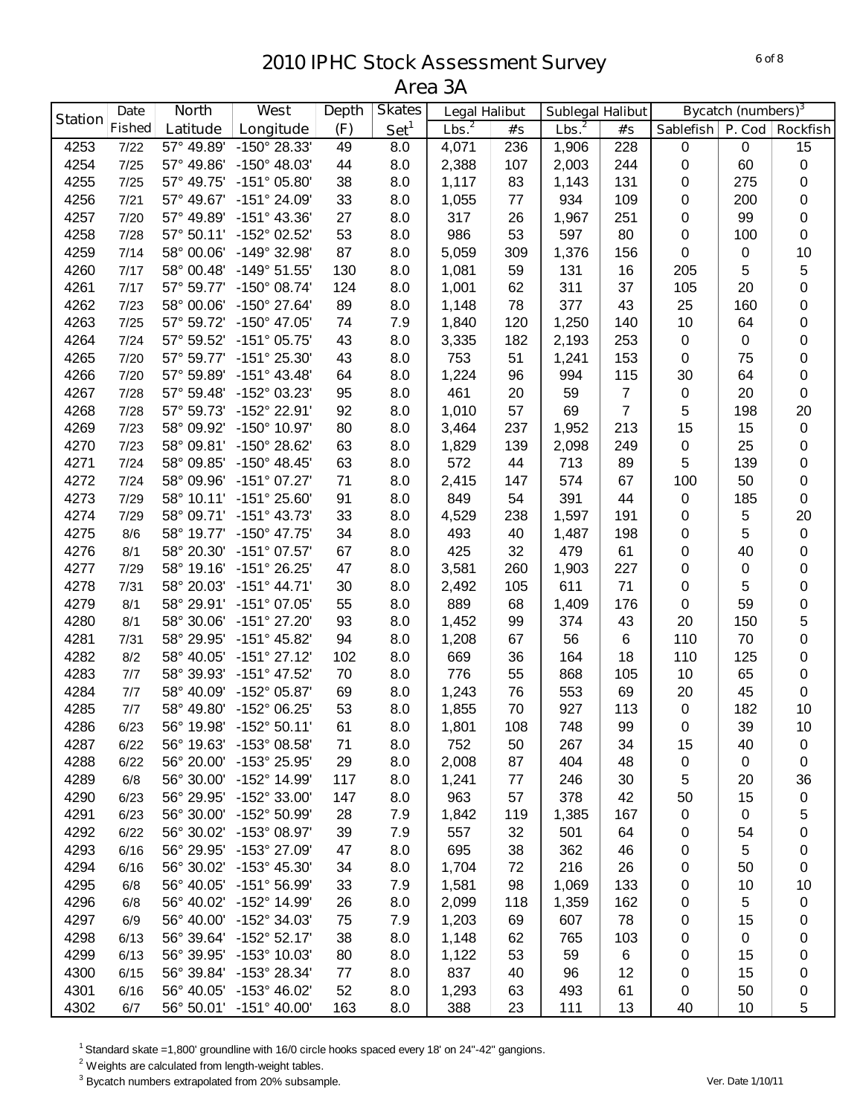| <b>Station</b> | <b>Date</b>   | <b>North</b> | West                    | <b>Depth</b> | <b>Skates</b>    | <b>Legal Halibut</b> |     | <b>Sublegal Halibut</b> |                |             | <b>Bycatch (numbers)</b> <sup>3</sup> |                 |
|----------------|---------------|--------------|-------------------------|--------------|------------------|----------------------|-----|-------------------------|----------------|-------------|---------------------------------------|-----------------|
|                | <b>Fished</b> | Latitude     | Longitude               | (F)          | Set <sup>1</sup> | Lbs. <sup>2</sup>    | #'s | Lbs. <sup>2</sup>       | #'s            | Sablefish   | P. Cod                                | <b>Rockfish</b> |
| 4253           | 7/22          | 57° 49.89'   | -150° 28.33'            | 49           | 8.0              | 4,071                | 236 | 1,906                   | 228            | $\mathbf 0$ | 0                                     | 15              |
| 4254           | 7/25          | 57° 49.86'   | $-150^{\circ}$ 48.03'   | 44           | 8.0              | 2,388                | 107 | 2,003                   | 244            | $\pmb{0}$   | 60                                    | $\pmb{0}$       |
| 4255           | 7/25          | 57° 49.75'   | $-151^{\circ}$ 05.80    | 38           | 8.0              | 1,117                | 83  | 1,143                   | 131            | 0           | 275                                   | $\pmb{0}$       |
| 4256           | 7/21          | 57° 49.67'   | $-151^{\circ} 24.09'$   | 33           | 8.0              | 1,055                | 77  | 934                     | 109            | 0           | 200                                   | $\pmb{0}$       |
| 4257           | 7/20          | 57° 49.89'   | -151° 43.36'            | 27           | 8.0              | 317                  | 26  | 1,967                   | 251            | 0           | 99                                    | $\pmb{0}$       |
| 4258           | 7/28          | 57° 50.11'   | -152° 02.52'            | 53           | 8.0              | 986                  | 53  | 597                     | 80             | 0           | 100                                   | 0               |
| 4259           | 7/14          | 58° 00.06'   | -149° 32.98'            | 87           | 8.0              | 5,059                | 309 | 1,376                   | 156            | 0           | 0                                     | 10              |
| 4260           | 7/17          | 58° 00.48'   | $-149°51.55'$           | 130          | 8.0              | 1,081                | 59  | 131                     | 16             | 205         | 5                                     | 5               |
| 4261           | 7/17          | 57° 59.77'   | -150° 08.74'            | 124          | 8.0              | 1,001                | 62  | 311                     | 37             | 105         | 20                                    | 0               |
| 4262           | 7/23          | 58° 00.06'   | -150° 27.64'            | 89           | 8.0              | 1,148                | 78  | 377                     | 43             | 25          | 160                                   | 0               |
| 4263           | 7/25          | 57° 59.72'   | -150° 47.05'            | 74           | 7.9              | 1,840                | 120 | 1,250                   | 140            | 10          | 64                                    | 0               |
| 4264           | 7/24          | 57° 59.52'   | -151° 05.75'            | 43           | 8.0              | 3,335                | 182 | 2,193                   | 253            | 0           | 0                                     | 0               |
| 4265           | 7/20          | 57° 59.77'   | -151° 25.30'            | 43           | 8.0              | 753                  | 51  | 1,241                   | 153            | 0           | 75                                    | 0               |
| 4266           | 7/20          | 57° 59.89'   | $-151^{\circ}$ 43.48'   | 64           | 8.0              | 1,224                | 96  | 994                     | 115            | 30          | 64                                    | $\pmb{0}$       |
| 4267           | 7/28          | 57° 59.48'   | -152° 03.23'            | 95           | 8.0              | 461                  | 20  | 59                      | $\overline{7}$ | $\pmb{0}$   | 20                                    | $\pmb{0}$       |
| 4268           | 7/28          | 57° 59.73'   | -152° 22.91'            | 92           | 8.0              | 1,010                | 57  | 69                      | $\overline{7}$ | 5           | 198                                   | 20              |
| 4269           | 7/23          | 58° 09.92'   | -150° 10.97'            | 80           | 8.0              | 3,464                | 237 | 1,952                   | 213            | 15          | 15                                    | $\pmb{0}$       |
| 4270           | 7/23          | 58° 09.81'   | -150° 28.62'            | 63           | 8.0              | 1,829                | 139 | 2,098                   | 249            | 0           | 25                                    | $\pmb{0}$       |
| 4271           | 7/24          | 58° 09.85'   | $-150^{\circ}$ 48.45'   | 63           | 8.0              | 572                  | 44  | 713                     | 89             | 5           | 139                                   | $\pmb{0}$       |
| 4272           | 7/24          | 58° 09.96'   | $-151^{\circ}$ 07.27'   | 71           | 8.0              | 2,415                | 147 | 574                     | 67             | 100         | 50                                    | $\pmb{0}$       |
| 4273           | 7/29          | 58° 10.11'   | $-151^{\circ} 25.60'$   | 91           | 8.0              | 849                  | 54  | 391                     | 44             | 0           | 185                                   | 0               |
| 4274           | 7/29          | 58° 09.71'   | $-151^{\circ}$ 43.73'   | 33           | 8.0              | 4,529                | 238 | 1,597                   | 191            | 0           | 5                                     | 20              |
| 4275           | 8/6           | 58° 19.77'   | $-150^{\circ}$ 47.75'   | 34           | 8.0              | 493                  | 40  | 1,487                   | 198            | 0           | 5                                     | $\pmb{0}$       |
| 4276           | 8/1           | 58° 20.30'   | $-151^{\circ}$ 07.57'   | 67           | 8.0              | 425                  | 32  | 479                     | 61             | 0           | 40                                    | 0               |
| 4277           | 7/29          | 58° 19.16'   | -151° 26.25'            | 47           | 8.0              | 3,581                | 260 | 1,903                   | 227            | 0           | 0                                     | 0               |
| 4278           | 7/31          | 58° 20.03'   | $-151^{\circ}$ 44.71'   | 30           | 8.0              | 2,492                | 105 | 611                     | 71             | 0           | 5                                     | 0               |
| 4279           | 8/1           | 58° 29.91'   | $-151^{\circ}$ 07.05'   | 55           | 8.0              | 889                  | 68  | 1,409                   | 176            | 0           | 59                                    | 0               |
| 4280           | 8/1           | 58° 30.06'   | -151° 27.20'            | 93           | 8.0              | 1,452                | 99  | 374                     | 43             | 20          | 150                                   | 5               |
| 4281           | 7/31          | 58° 29.95'   | -151° 45.82'            | 94           | 8.0              | 1,208                | 67  | 56                      | $\,6$          | 110         | 70                                    | 0               |
| 4282           | 8/2           | 58° 40.05'   | $-151^{\circ}$ 27.12'   | 102          | 8.0              | 669                  | 36  | 164                     | 18             | 110         | 125                                   | $\pmb{0}$       |
| 4283           | 7/7           | 58° 39.93'   | -151° 47.52'            | 70           | 8.0              | 776                  | 55  | 868                     | 105            | 10          | 65                                    | $\pmb{0}$       |
| 4284           | 7/7           | 58° 40.09'   | -152° 05.87'            | 69           | 8.0              | 1,243                | 76  | 553                     | 69             | 20          | 45                                    | $\pmb{0}$       |
| 4285           | 7/7           | 58° 49.80'   | -152° 06.25'            | 53           | 8.0              | 1,855                | 70  | 927                     | 113            | $\pmb{0}$   | 182                                   | 10              |
| 4286           | 6/23          |              | 56° 19.98' -152° 50.11' | 61           | 8.0              | 1,801                | 108 | 748                     | 99             | $\Omega$    | 39                                    | 10              |
| 4287           | 6/22          | 56° 19.63'   | $-153^{\circ}$ 08.58    | 71           | 8.0              | 752                  | 50  | 267                     | 34             | 15          | 40                                    | 0               |
| 4288           | 6/22          | 56° 20.00'   | -153° 25.95'            | 29           | 8.0              | 2,008                | 87  | 404                     | 48             | 0           | 0                                     | 0               |
| 4289           | 6/8           | 56° 30.00'   | -152° 14.99'            | 117          | 8.0              | 1,241                | 77  | 246                     | 30             | 5           | 20                                    | 36              |
| 4290           | 6/23          | 56° 29.95'   | -152° 33.00'            | 147          | 8.0              | 963                  | 57  | 378                     | 42             | 50          | 15                                    | 0               |
| 4291           | 6/23          | 56° 30.00'   | -152° 50.99'            | 28           | 7.9              | 1,842                | 119 | 1,385                   | 167            | 0           | 0                                     | 5               |
| 4292           | 6/22          | 56° 30.02'   | -153° 08.97'            | 39           | 7.9              | 557                  | 32  | 501                     | 64             | 0           | 54                                    | 0               |
| 4293           | 6/16          | 56° 29.95'   | -153° 27.09'            | 47           | 8.0              | 695                  | 38  | 362                     | 46             | 0           | 5                                     | 0               |
| 4294           | 6/16          | 56° 30.02'   | $-153^{\circ}$ 45.30    | 34           | 8.0              | 1,704                | 72  | 216                     | 26             | 0           | 50                                    | 0               |
| 4295           | 6/8           | 56° 40.05'   | -151° 56.99'            | 33           | 7.9              | 1,581                | 98  | 1,069                   | 133            | 0           | 10                                    | 10              |
| 4296           | 6/8           | 56° 40.02'   | -152° 14.99'            | 26           | 8.0              | 2,099                | 118 | 1,359                   | 162            | 0           | 5                                     | 0               |
| 4297           | 6/9           | 56° 40.00'   | -152° 34.03'            | 75           | 7.9              | 1,203                | 69  | 607                     | 78             | 0           | 15                                    | 0               |
| 4298           | 6/13          | 56° 39.64'   | $-152^{\circ}52.17'$    | 38           | 8.0              | 1,148                | 62  | 765                     | 103            | 0           | 0                                     | 0               |
| 4299           | 6/13          | 56° 39.95'   | -153° 10.03'            | 80           | 8.0              | 1,122                | 53  | 59                      | 6              | 0           | 15                                    | 0               |
| 4300           | 6/15          | 56° 39.84'   | -153° 28.34'            | 77           | 8.0              | 837                  | 40  | 96                      | 12             | 0           | 15                                    | 0               |
| 4301           | 6/16          | 56° 40.05'   | -153° 46.02'            | 52           | 8.0              | 1,293                | 63  | 493                     | 61             | 0           | 50                                    | 0               |
| 4302           | 6/7           |              | 56° 50.01' -151° 40.00' | 163          | 8.0              | 388                  | 23  | 111                     | 13             | 40          | 10                                    | 5               |

Standard skate =1,800' groundline with 16/0 circle hooks spaced every 18' on 24"-42" gangions.

Weights are calculated from length-weight tables.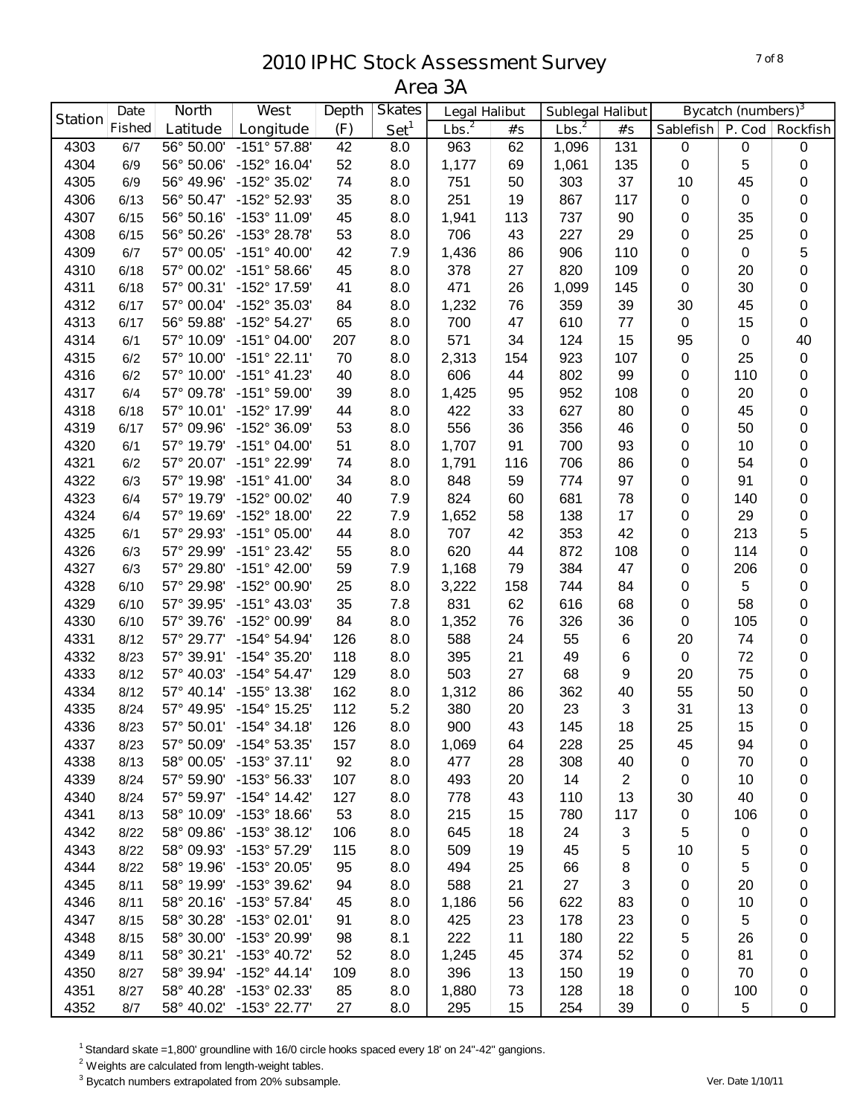|                | <b>Date</b>   | <b>North</b> | West                    | <b>Depth</b> | <b>Skates</b>    | <b>Legal Halibut</b> |     | <b>Sublegal Halibut</b> |                |                  | <b>Bycatch (numbers)</b> <sup>3</sup> |                 |
|----------------|---------------|--------------|-------------------------|--------------|------------------|----------------------|-----|-------------------------|----------------|------------------|---------------------------------------|-----------------|
| <b>Station</b> | <b>Fished</b> | Latitude     | Longitude               | (F)          | Set <sup>1</sup> | Lbs. <sup>2</sup>    | #'s | Lbs. <sup>2</sup>       | #'s            | <b>Sablefish</b> | P. Cod                                | <b>Rockfish</b> |
| 4303           | 6/7           | 56° 50.00'   | $-151^{\circ}57.88'$    | 42           | 8.0              | 963                  | 62  | 1,096                   | 131            | $\pmb{0}$        | 0                                     | $\pmb{0}$       |
| 4304           | 6/9           | 56° 50.06'   | -152° 16.04'            | 52           | 8.0              | 1,177                | 69  | 1,061                   | 135            | $\pmb{0}$        | 5                                     | 0               |
| 4305           | 6/9           | 56° 49.96'   | -152° 35.02'            | 74           | 8.0              | 751                  | 50  | 303                     | 37             | 10               | 45                                    | 0               |
| 4306           | 6/13          | 56° 50.47'   | -152° 52.93'            | 35           | 8.0              | 251                  | 19  | 867                     | 117            | 0                | 0                                     | 0               |
| 4307           | 6/15          | 56° 50.16'   | -153° 11.09'            | 45           | 8.0              | 1,941                | 113 | 737                     | 90             | 0                | 35                                    | 0               |
| 4308           | 6/15          | 56° 50.26'   | -153° 28.78'            | 53           | 8.0              | 706                  | 43  | 227                     | 29             | 0                | 25                                    | 0               |
| 4309           | 6/7           | 57° 00.05'   | $-151^{\circ}$ 40.00    | 42           | 7.9              | 1,436                | 86  | 906                     | 110            | 0                | 0                                     | 5               |
| 4310           | 6/18          | 57° 00.02'   | $-151°58.66'$           | 45           | 8.0              | 378                  | 27  | 820                     | 109            | 0                | 20                                    | 0               |
| 4311           | 6/18          | 57° 00.31'   | -152° 17.59'            | 41           | 8.0              | 471                  | 26  | 1,099                   | 145            | 0                | 30                                    | 0               |
| 4312           | 6/17          | 57° 00.04'   | -152° 35.03'            | 84           | 8.0              | 1,232                | 76  | 359                     | 39             | 30               | 45                                    | $\pmb{0}$       |
| 4313           | 6/17          | 56° 59.88'   | $-152^{\circ} 54.27'$   | 65           | 8.0              | 700                  | 47  | 610                     | 77             | $\mathbf 0$      | 15                                    | $\mathbf 0$     |
| 4314           | 6/1           | 57° 10.09'   | $-151^{\circ}$ 04.00'   | 207          | 8.0              | 571                  | 34  | 124                     | 15             | 95               | 0                                     | 40              |
| 4315           | 6/2           | 57° 10.00'   | $-151°$ 22.11'          | 70           | 8.0              | 2,313                | 154 | 923                     | 107            | $\mathbf 0$      | 25                                    | $\pmb{0}$       |
| 4316           | 6/2           | 57° 10.00'   | $-151^{\circ}$ 41.23'   | 40           | 8.0              | 606                  | 44  | 802                     | 99             | 0                | 110                                   | $\mathbf 0$     |
| 4317           | 6/4           | 57° 09.78'   | $-151^{\circ} 59.00'$   | 39           | 8.0              | 1,425                | 95  | 952                     | 108            | 0                | 20                                    | 0               |
| 4318           | 6/18          | 57° 10.01'   | -152° 17.99'            | 44           | 8.0              | 422                  | 33  | 627                     | 80             | 0                | 45                                    | 0               |
| 4319           | 6/17          | 57° 09.96'   | -152° 36.09'            | 53           | 8.0              | 556                  | 36  | 356                     | 46             | 0                | 50                                    | 0               |
| 4320           | 6/1           | 57° 19.79'   | $-151^{\circ}$ 04.00    | 51           | 8.0              | 1,707                | 91  | 700                     | 93             | 0                | 10                                    | 0               |
| 4321           | 6/2           | 57° 20.07'   | -151° 22.99'            | 74           | 8.0              | 1,791                | 116 | 706                     | 86             | 0                | 54                                    | 0               |
| 4322           | 6/3           | 57° 19.98'   | $-151^{\circ}$ 41.00'   | 34           | 8.0              | 848                  | 59  | 774                     | 97             | 0                | 91                                    | 0               |
| 4323           | 6/4           | 57° 19.79'   | -152° 00.02'            | 40           | 7.9              | 824                  | 60  | 681                     | 78             | 0                | 140                                   | 0               |
| 4324           | 6/4           | 57° 19.69'   | $-152^{\circ}$ 18.00'   | 22           | 7.9              | 1,652                | 58  | 138                     | 17             | 0                | 29                                    | 0               |
| 4325           | 6/1           | 57° 29.93'   | $-151^{\circ}$ 05.00'   | 44           | 8.0              | 707                  | 42  | 353                     | 42             | 0                | 213                                   | 5               |
| 4326           | 6/3           | 57° 29.99'   | $-151^{\circ} 23.42'$   | 55           | 8.0              | 620                  | 44  | 872                     | 108            | 0                | 114                                   | 0               |
| 4327           | 6/3           | 57° 29.80'   | $-151^{\circ}$ 42.00    | 59           | 7.9              | 1,168                | 79  | 384                     | 47             | 0                | 206                                   | $\pmb{0}$       |
| 4328           | 6/10          | 57° 29.98'   | -152° 00.90'            | 25           | 8.0              | 3,222                | 158 | 744                     | 84             | 0                | 5                                     | $\pmb{0}$       |
| 4329           | 6/10          | 57° 39.95'   | $-151^{\circ}$ 43.03'   | 35           | 7.8              | 831                  | 62  | 616                     | 68             | 0                | 58                                    | 0               |
| 4330           | 6/10          | 57° 39.76'   | -152° 00.99'            | 84           | 8.0              | 1,352                | 76  | 326                     | 36             | 0                | 105                                   | 0               |
| 4331           | 8/12          | 57° 29.77'   | $-154^{\circ} 54.94'$   | 126          | 8.0              | 588                  | 24  | 55                      | $\,6$          | 20               | 74                                    | 0               |
| 4332           | 8/23          | 57° 39.91'   | -154° 35.20'            | 118          | 8.0              | 395                  | 21  | 49                      | 6              | $\pmb{0}$        | 72                                    | 0               |
| 4333           | 8/12          | 57° 40.03'   | $-154^{\circ} 54.47'$   | 129          | 8.0              | 503                  | 27  | 68                      | 9              | 20               | 75                                    | 0               |
| 4334           | 8/12          | 57° 40.14'   | -155° 13.38'            | 162          | 8.0              | 1,312                | 86  | 362                     | 40             | 55               | 50                                    | $\pmb{0}$       |
| 4335           | 8/24          | 57° 49.95'   | -154° 15.25'            | 112          | 5.2              | 380                  | 20  | 23                      | 3              | 31               | 13                                    | $\pmb{0}$       |
| 4336           | 8/23          |              | 57° 50.01' -154° 34.18' | 126          | 8.0              | 900                  | 43  | 145                     | 18             | 25               | 15                                    | $\pmb{0}$       |
| 4337           | 8/23          | 57° 50.09'   | $-154^{\circ}53.35'$    | 157          | 8.0              | 1,069                | 64  | 228                     | 25             | 45               | 94                                    | 0               |
| 4338           | 8/13          | 58° 00.05'   | $-153°37.11'$           | 92           | 8.0              | 477                  | 28  | 308                     | 40             | $\mathbf 0$      | 70                                    | 0               |
| 4339           | 8/24          | 57° 59.90'   | -153° 56.33'            | 107          | 8.0              | 493                  | 20  | 14                      | $\overline{2}$ | $\mathbf 0$      | 10                                    | 0               |
| 4340           | 8/24          | 57° 59.97'   | $-154^{\circ}$ 14.42    | 127          | 8.0              | 778                  | 43  | 110                     | 13             | 30               | 40                                    | 0               |
| 4341           | 8/13          | 58° 10.09'   | $-153^{\circ}$ 18.66'   | 53           | 8.0              | 215                  | 15  | 780                     | 117            | $\pmb{0}$        | 106                                   | 0               |
| 4342           | 8/22          | 58° 09.86'   | -153° 38.12'            | 106          | 8.0              | 645                  | 18  | 24                      | 3              | 5                | 0                                     | 0               |
| 4343           | 8/22          | 58° 09.93'   | -153° 57.29'            | 115          | 8.0              | 509                  | 19  | 45                      | 5              | 10               | 5                                     | 0               |
| 4344           | 8/22          | 58° 19.96'   | -153° 20.05'            | 95           | 8.0              | 494                  | 25  | 66                      | 8              | 0                | 5                                     | 0               |
| 4345           | 8/11          | 58° 19.99'   | -153° 39.62'            | 94           | 8.0              | 588                  | 21  | 27                      | 3              | 0                | 20                                    | 0               |
| 4346           | 8/11          | 58° 20.16'   | -153° 57.84'            | 45           | 8.0              | 1,186                | 56  | 622                     | 83             | 0                | 10                                    | 0               |
| 4347           | 8/15          | 58° 30.28'   | -153° 02.01'            | 91           | 8.0              | 425                  | 23  | 178                     | 23             | 0                | 5                                     | 0               |
| 4348           | 8/15          | 58° 30.00'   | -153° 20.99'            | 98           | 8.1              | 222                  | 11  | 180                     | 22             | 5                | 26                                    | 0               |
| 4349           | 8/11          | 58° 30.21'   | $-153^{\circ}$ 40.72    | 52           | 8.0              | 1,245                | 45  | 374                     | 52             | 0                | 81                                    | 0               |
| 4350           | 8/27          | 58° 39.94'   | $-152^{\circ}$ 44.14'   | 109          | 8.0              | 396                  | 13  | 150                     | 19             | 0                | 70                                    | 0               |
| 4351           | 8/27          | 58° 40.28'   | -153° 02.33'            | 85           | 8.0              | 1,880                | 73  | 128                     | 18             | 0                | 100                                   | 0               |
| 4352           | 8/7           |              | 58° 40.02' -153° 22.77' | 27           | 8.0              | 295                  | 15  | 254                     | 39             | $\boldsymbol{0}$ | 5                                     | $\pmb{0}$       |

Standard skate =1,800' groundline with 16/0 circle hooks spaced every 18' on 24"-42" gangions.

Weights are calculated from length-weight tables.